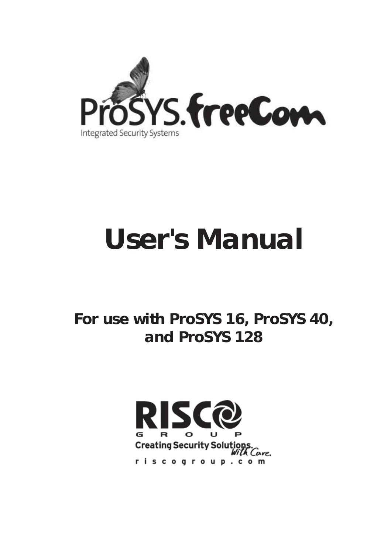

# **User's Manual**

### **For use with ProSYS 16, ProSYS 40, and ProSYS 128**

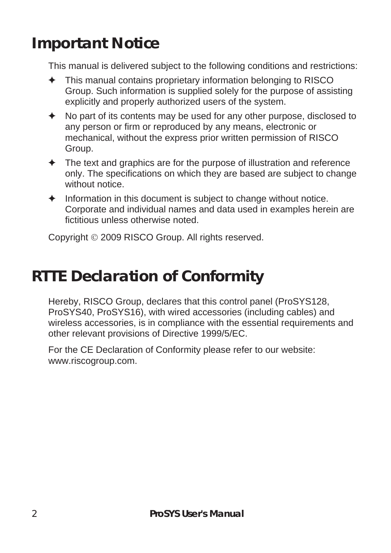### **Important Notice**

This manual is delivered subject to the following conditions and restrictions:

- $\triangleq$  This manual contains proprietary information belonging to RISCO Group. Such information is supplied solely for the purpose of assisting explicitly and properly authorized users of the system.
- $\triangle$  No part of its contents may be used for any other purpose, disclosed to any person or firm or reproduced by any means, electronic or mechanical, without the express prior written permission of RISCO Group.
- $\triangle$  The text and graphics are for the purpose of illustration and reference only. The specifications on which they are based are subject to change without notice
- $\triangleleft$  Information in this document is subject to change without notice. Corporate and individual names and data used in examples herein are fictitious unless otherwise noted.

Copyright © 2009 RISCO Group. All rights reserved.

### **RTTE Declaration of Conformity**

Hereby, RISCO Group, declares that this control panel (ProSYS128, ProSYS40, ProSYS16), with wired accessories (including cables) and wireless accessories, is in compliance with the essential requirements and other relevant provisions of Directive 1999/5/EC.

For the CE Declaration of Conformity please refer to our website: www.riscogroup.com.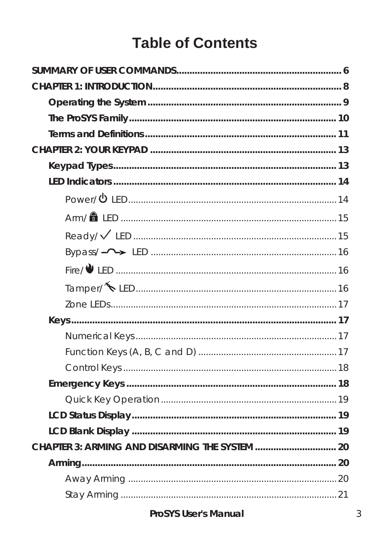### **Table of Contents**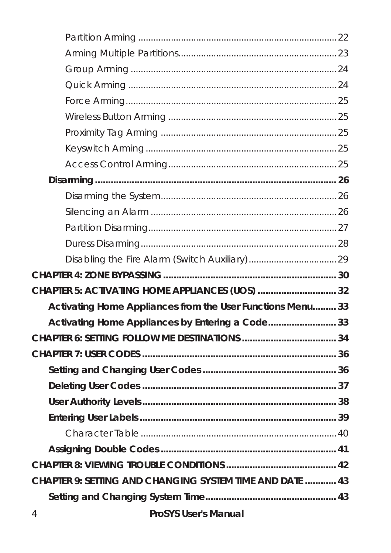| CHAPTER 5: ACTIVATING HOME APPLIANCES (UOS)  32            |  |  |
|------------------------------------------------------------|--|--|
| Activating Home Appliances from the User Functions Menu 33 |  |  |
| Activating Home Appliances by Entering a Code 33           |  |  |
|                                                            |  |  |
|                                                            |  |  |
|                                                            |  |  |
|                                                            |  |  |
|                                                            |  |  |
|                                                            |  |  |
|                                                            |  |  |
|                                                            |  |  |
|                                                            |  |  |
| CHAPTER 9: SETTING AND CHANGING SYSTEM TIME AND DATE  43   |  |  |
|                                                            |  |  |
|                                                            |  |  |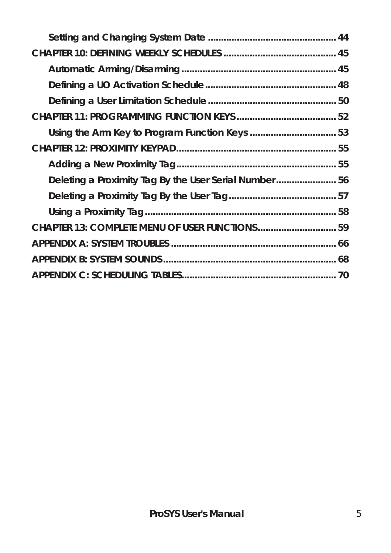| Deleting a Proximity Tag By the User Serial Number56 |  |
|------------------------------------------------------|--|
|                                                      |  |
|                                                      |  |
| CHAPTER 13: COMPLETE MENU OF USER FUNCTIONS 59       |  |
|                                                      |  |
|                                                      |  |
|                                                      |  |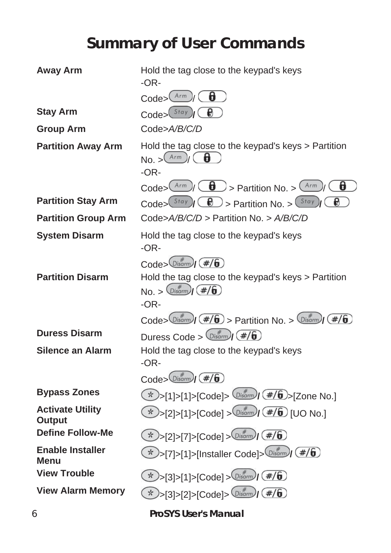## **Summary of User Commands**

| <b>Away Arm</b>                          | Hold the tag close to the keypad's keys<br>$-OR-$                                                                                            |
|------------------------------------------|----------------------------------------------------------------------------------------------------------------------------------------------|
|                                          | Arm<br>8<br>$\text{Code}$                                                                                                                    |
| <b>Stay Arm</b>                          | $\text{Code}$ $\left( \text{Stay} \right)$                                                                                                   |
| <b>Group Arm</b>                         | Code>A/B/C/D                                                                                                                                 |
| <b>Partition Away Arm</b>                | Hold the tag close to the keypad's keys > Partition<br>$\text{No.}>\frac{(\text{Arm})}{(\theta)}$<br>$-OR-$                                  |
|                                          | θ<br>$\frac{Arm}{\sqrt{2}}$ $\left(\frac{d}{d}\right)$ > Partition No. > $\frac{Arm}{d}$<br>$\text{Code} > 0$                                |
| <b>Partition Stay Arm</b>                | Đ<br>Code> $(\frac{Stay}{d})$ ( $\bigoplus$ ) > Partition No. > $(\frac{Stay}{d})$                                                           |
| <b>Partition Group Arm</b>               | Code>A/B/C/D > Partition No. > A/B/C/D                                                                                                       |
| <b>System Disarm</b>                     | Hold the tag close to the keypad's keys<br>$-OR-$                                                                                            |
| <b>Partition Disarm</b>                  | $\text{Code}$ $\sim$ $\text{Disarm}$ $(\#/\#)$<br>Hold the tag close to the keypad's keys > Partition<br>$No. > \frac{D}{B}$ (#/6)<br>$-OR-$ |
|                                          | Code> $\frac{m}{\sqrt{m}}(H/\sqrt{6})$ > Partition No. > $\frac{m}{2}(\#/\sqrt{6})$                                                          |
| <b>Duress Disarm</b>                     | Duress Code > $\frac{m}{\sqrt{m}}$ (#/6)                                                                                                     |
| Silence an Alarm                         | Hold the tag close to the keypad's keys<br>$-OR-$                                                                                            |
|                                          | $\text{Code}$ $\sim$ $\left(\frac{\text{#}}{\text{Hom}}\right)$ $\left(\frac{\text{#}}{\text{#}}\right)$                                     |
| <b>Bypass Zones</b>                      | *)>[1]>[1]>[Code]> $(D_{\text{isorm}}/(\#/\mathbf{6})$ >[Zone No.]                                                                           |
| <b>Activate Utility</b><br><b>Output</b> | * >[2]>[1]>[Code] > $0.5$ (# $\sqrt{6}$ ) [UO No.]                                                                                           |
| <b>Define Follow-Me</b>                  | * >[2] >[7] >[Code] > $\frac{1}{2}$ > $\frac{1}{2}$ + $\frac{1}{2}$                                                                          |
| <b>Enable Installer</b><br>Menu          | * >[7] >[1] >[Installer Code] > $\frac{m}{2}$ (#/6)                                                                                          |
| <b>View Trouble</b>                      | * >[3] >[1] >[Code] > $(Disom)/$ (#/6)                                                                                                       |
| <b>View Alarm Memory</b>                 | * >[3]>[2]>[Code]> $\frac{m}{2}$ $(\frac{m}{6})$                                                                                             |
| 6                                        | <b>ProSYS User's Manual</b>                                                                                                                  |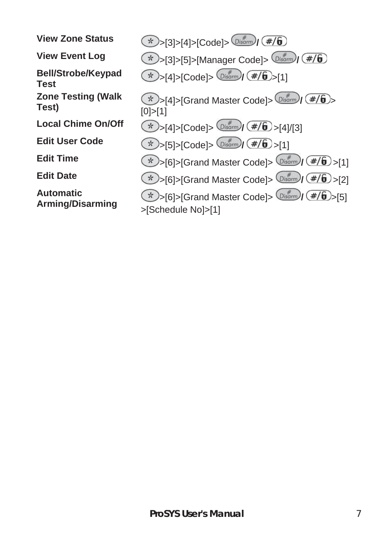**Bell/Strobe/Keypad Zone Testing (Walk** 

**Automatic** 

**View Zone Status**  $\left(\frac{x}{2}\right) > [3] > [4] > [Code] > \frac{p}{p \cdot 3}$  **(#/6) View Event Log**  $\left(\frac{k}{2}\right)$  >[3]>[5]>[Manager Code]>  $\left(\frac{m}{2}\right)$  (#/6) **Test** >[4]>[Code]> **/** >[1] **Zone Testing (Walk**  $\frac{1}{2}$   $\frac{1}{2}$   $\frac{1}{2}$   $\frac{1}{2}$   $\frac{1}{2}$   $\frac{1}{2}$   $\frac{1}{2}$   $\frac{1}{2}$   $\frac{1}{2}$   $\frac{1}{2}$   $\frac{1}{2}$   $\frac{1}{2}$   $\frac{1}{2}$   $\frac{1}{2}$   $\frac{1}{2}$   $\frac{1}{2}$   $\frac{1}{2}$   $\frac{1}{2}$   $\frac{1}{2}$   $\frac{1}{2}$  [0]>[1] **Local Chime On/Off**  $\left(\frac{1}{N}\right)$   $\sup_{|A| > |C \text{ode}| > \left(\frac{1}{D} \cdot \frac{1}{2}\right)}$   $\left(\frac{\#}{6}\right)$   $\sup_{|A| \leq R}$ **Edit User Code**  $\left(\sqrt[4]{x}\right) > [5] > [Code] > \left(\sqrt[4]{\frac{4}{10}}\right) > [1]$ **Edit Time**  $\left(\frac{1}{N}\right)$ >[6]>[Grand Master Code]>  $\frac{1}{N}$  $\frac{1}{N}$  $\left(\frac{\#}{6}\right)$ >[1] **Edit Date**  $\left(\frac{1}{N}\right) > [6] > [Grand Master Code] > \frac{(\frac{1}{D} + \frac{1}{D})}{(\frac{1}{D} + \frac{1}{D})} > [2]$ **Automatic**  $\frac{1}{2}$   $\frac{1}{2}$   $\frac{1}{2}$   $\frac{1}{2}$   $\frac{1}{2}$   $\frac{1}{2}$   $\frac{1}{2}$   $\frac{1}{2}$   $\frac{1}{2}$   $\frac{1}{2}$   $\frac{1}{2}$   $\frac{1}{2}$   $\frac{1}{2}$   $\frac{1}{2}$   $\frac{1}{2}$   $\frac{1}{2}$   $\frac{1}{2}$   $\frac{1}{2}$   $\frac{1}{2}$   $\frac{1}{2}$   $\frac{1}{2}$  >[Schedule No]>[1]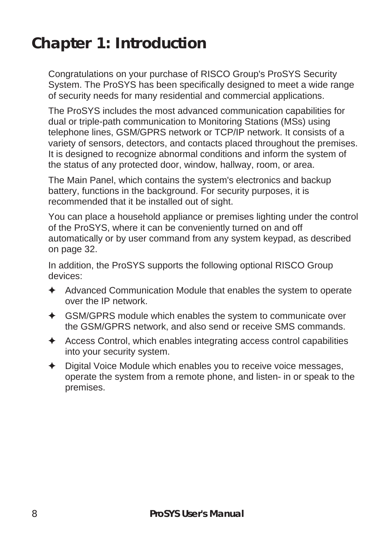### **Chapter 1: Introduction**

Congratulations on your purchase of RISCO Group's ProSYS Security System. The ProSYS has been specifically designed to meet a wide range of security needs for many residential and commercial applications.

The ProSYS includes the most advanced communication capabilities for dual or triple-path communication to Monitoring Stations (MSs) using telephone lines, GSM/GPRS network or TCP/IP network. It consists of a variety of sensors, detectors, and contacts placed throughout the premises. It is designed to recognize abnormal conditions and inform the system of the status of any protected door, window, hallway, room, or area.

The Main Panel, which contains the system's electronics and backup battery, functions in the background. For security purposes, it is recommended that it be installed out of sight.

You can place a household appliance or premises lighting under the control of the ProSYS, where it can be conveniently turned on and off automatically or by user command from any system keypad, as described on page 32.

In addition, the ProSYS supports the following optional RISCO Group devices:

- $\triangleleft$  Advanced Communication Module that enables the system to operate over the IP network.
- $\triangleleft$  GSM/GPRS module which enables the system to communicate over the GSM/GPRS network, and also send or receive SMS commands.
- $\triangle$  Access Control, which enables integrating access control capabilities into your security system.
- $\triangle$  Digital Voice Module which enables you to receive voice messages, operate the system from a remote phone, and listen- in or speak to the premises.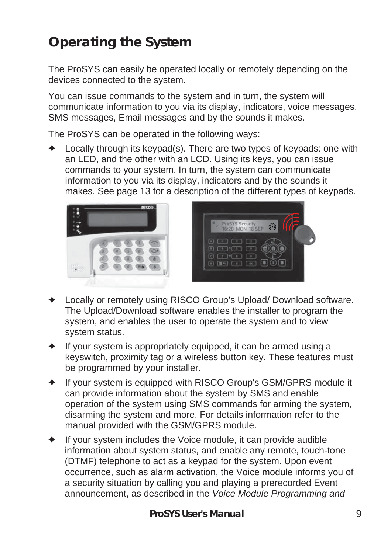### **Operating the System**

The ProSYS can easily be operated locally or remotely depending on the devices connected to the system.

You can issue commands to the system and in turn, the system will communicate information to you via its display, indicators, voice messages, SMS messages, Email messages and by the sounds it makes.

The ProSYS can be operated in the following ways:

 $\triangleq$  Locally through its keypad(s). There are two types of keypads: one with an LED, and the other with an LCD. Using its keys, you can issue commands to your system. In turn, the system can communicate information to you via its display, indicators and by the sounds it makes. See page 13 for a description of the different types of keypads.





- ) Locally or remotely using RISCO Group's Upload/ Download software. The Upload/Download software enables the installer to program the system, and enables the user to operate the system and to view system status.
- If your system is appropriately equipped, it can be armed using a keyswitch, proximity tag or a wireless button key. These features must be programmed by your installer.
- If your system is equipped with RISCO Group's GSM/GPRS module it can provide information about the system by SMS and enable operation of the system using SMS commands for arming the system, disarming the system and more. For details information refer to the manual provided with the GSM/GPRS module.
- If your system includes the Voice module, it can provide audible information about system status, and enable any remote, touch-tone (DTMF) telephone to act as a keypad for the system. Upon event occurrence, such as alarm activation, the Voice module informs you of a security situation by calling you and playing a prerecorded Event announcement, as described in the *Voice Module Programming and*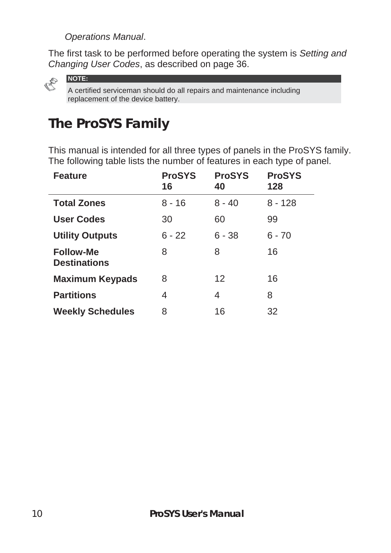*Operations Manual*.

The first task to be performed before operating the system is *Setting and Changing User Codes*, as described on page 36.



**NOTE:** 

A certified serviceman should do all repairs and maintenance including replacement of the device battery.

### **The ProSYS Family**

This manual is intended for all three types of panels in the ProSYS family. The following table lists the number of features in each type of panel.

| <b>Feature</b>                          | <b>ProSYS</b><br>16 | <b>ProSYS</b><br>40 | <b>ProSYS</b><br>128 |
|-----------------------------------------|---------------------|---------------------|----------------------|
| <b>Total Zones</b>                      | $8 - 16$            | $8 - 40$            | $8 - 128$            |
| User Codes                              | 30                  | 60                  | 99                   |
| <b>Utility Outputs</b>                  | $6 - 22$            | $6 - 38$            | $6 - 70$             |
| <b>Follow-Me</b><br><b>Destinations</b> | 8                   | 8                   | 16                   |
| <b>Maximum Keypads</b>                  | 8                   | 12                  | 16                   |
| <b>Partitions</b>                       | 4                   | 4                   | 8                    |
| <b>Weekly Schedules</b>                 | 8                   | 16                  | 32                   |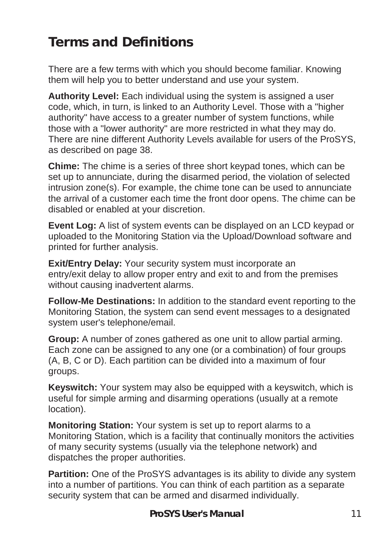### **Terms and Definitions**

There are a few terms with which you should become familiar. Knowing them will help you to better understand and use your system.

**Authority Level:** Each individual using the system is assigned a user code, which, in turn, is linked to an Authority Level. Those with a "higher authority" have access to a greater number of system functions, while those with a "lower authority" are more restricted in what they may do. There are nine different Authority Levels available for users of the ProSYS, as described on page 38.

**Chime:** The chime is a series of three short keypad tones, which can be set up to annunciate, during the disarmed period, the violation of selected intrusion zone(s). For example, the chime tone can be used to annunciate the arrival of a customer each time the front door opens. The chime can be disabled or enabled at your discretion.

**Event Log:** A list of system events can be displayed on an LCD keypad or uploaded to the Monitoring Station via the Upload/Download software and printed for further analysis.

**Exit/Entry Delay:** Your security system must incorporate an entry/exit delay to allow proper entry and exit to and from the premises without causing inadvertent alarms.

**Follow-Me Destinations:** In addition to the standard event reporting to the Monitoring Station, the system can send event messages to a designated system user's telephone/email.

**Group:** A number of zones gathered as one unit to allow partial arming. Each zone can be assigned to any one (or a combination) of four groups (A, B, C or D). Each partition can be divided into a maximum of four groups.

**Keyswitch:** Your system may also be equipped with a keyswitch, which is useful for simple arming and disarming operations (usually at a remote location).

**Monitoring Station:** Your system is set up to report alarms to a Monitoring Station, which is a facility that continually monitors the activities of many security systems (usually via the telephone network) and dispatches the proper authorities.

**Partition:** One of the ProSYS advantages is its ability to divide any system into a number of partitions. You can think of each partition as a separate security system that can be armed and disarmed individually.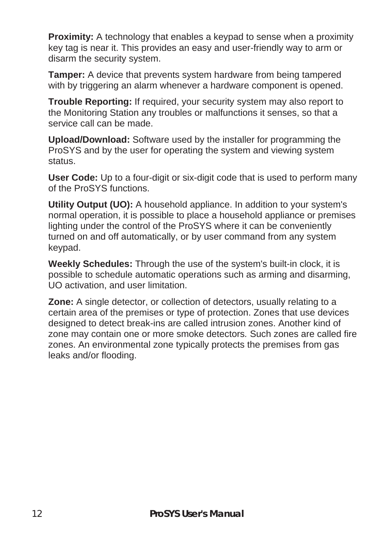**Proximity:** A technology that enables a keypad to sense when a proximity key tag is near it. This provides an easy and user-friendly way to arm or disarm the security system.

**Tamper:** A device that prevents system hardware from being tampered with by triggering an alarm whenever a hardware component is opened.

**Trouble Reporting:** If required, your security system may also report to the Monitoring Station any troubles or malfunctions it senses, so that a service call can be made.

**Upload/Download:** Software used by the installer for programming the ProSYS and by the user for operating the system and viewing system status.

**User Code:** Up to a four-digit or six-digit code that is used to perform many of the ProSYS functions.

**Utility Output (UO):** A household appliance. In addition to your system's normal operation, it is possible to place a household appliance or premises lighting under the control of the ProSYS where it can be conveniently turned on and off automatically, or by user command from any system keypad.

**Weekly Schedules:** Through the use of the system's built-in clock, it is possible to schedule automatic operations such as arming and disarming, UO activation, and user limitation.

**Zone:** A single detector, or collection of detectors, usually relating to a certain area of the premises or type of protection. Zones that use devices designed to detect break-ins are called intrusion zones. Another kind of zone may contain one or more smoke detectors*.* Such zones are called fire zones. An environmental zone typically protects the premises from gas leaks and/or flooding.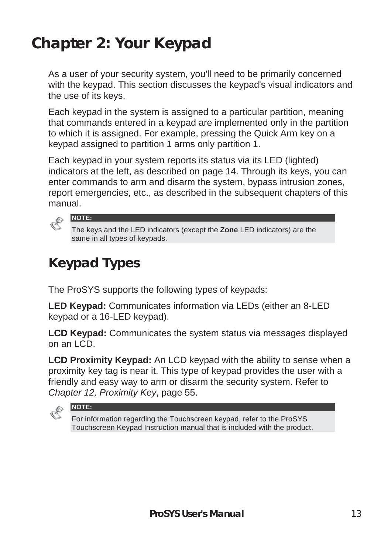### **Chapter 2: Your Keypad**

As a user of your security system, you'll need to be primarily concerned with the keypad. This section discusses the keypad's visual indicators and the use of its keys.

Each keypad in the system is assigned to a particular partition, meaning that commands entered in a keypad are implemented only in the partition to which it is assigned. For example, pressing the Quick Arm key on a keypad assigned to partition 1 arms only partition 1.

Each keypad in your system reports its status via its LED (lighted) indicators at the left, as described on page 14. Through its keys, you can enter commands to arm and disarm the system, bypass intrusion zones, report emergencies, etc., as described in the subsequent chapters of this manual.



The keys and the LED indicators (except the **Zone** LED indicators) are the same in all types of keypads.

### **Keypad Types**

The ProSYS supports the following types of keypads:

**LED Keypad:** Communicates information via LEDs (either an 8-LED keypad or a 16-LED keypad).

**LCD Keypad:** Communicates the system status via messages displayed on an LCD.

**LCD Proximity Keypad:** An LCD keypad with the ability to sense when a proximity key tag is near it. This type of keypad provides the user with a friendly and easy way to arm or disarm the security system. Refer to *Chapter 12, Proximity Key*, page 55.



**NOTE:** 

For information regarding the Touchscreen keypad, refer to the ProSYS Touchscreen Keypad Instruction manual that is included with the product.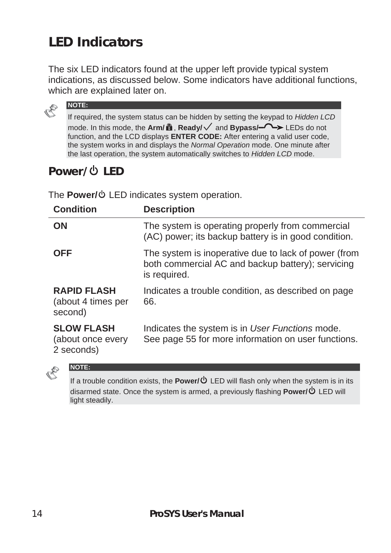### **LED Indicators**

The six LED indicators found at the upper left provide typical system indications, as discussed below. Some indicators have additional functions, which are explained later on.



If required, the system status can be hidden by setting the keypad to *Hidden LCD*  mode. In this mode, the **Arm/**  $\hat{\mathbf{a}}$ , **Ready/** and **Bypass/-** $\rightarrow$  LEDs do not function, and the LCD displays **ENTER CODE:** After entering a valid user code, the system works in and displays the *Normal Operation* mode. One minute after the last operation, the system automatically switches to *Hidden LCD* mode.

### **Power/ U LED**

**NOTE:** 

The **Power/** $\Phi$  LED indicates system operation.

| <b>Condition</b>                                     | <b>Description</b>                                                                                                        |
|------------------------------------------------------|---------------------------------------------------------------------------------------------------------------------------|
| ON                                                   | The system is operating properly from commercial<br>(AC) power; its backup battery is in good condition.                  |
| <b>OFF</b>                                           | The system is inoperative due to lack of power (from<br>both commercial AC and backup battery); servicing<br>is required. |
| <b>RAPID FLASH</b><br>(about 4 times per<br>second)  | Indicates a trouble condition, as described on page<br>66.                                                                |
| <b>SLOW FLASH</b><br>(about once every<br>2 seconds) | Indicates the system is in User Functions mode.<br>See page 55 for more information on user functions.                    |



#### **NOTE:**

If a trouble condition exists, the **Power/**  $\Phi$  LED will flash only when the system is in its disarmed state. Once the system is armed, a previously flashing **Power/** LED will light steadily.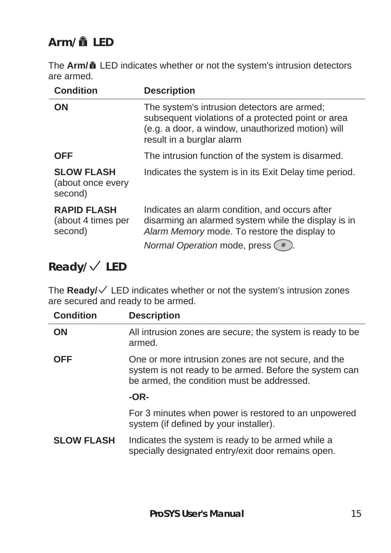### **Arm/ LED**

The **Arm/ î** LED indicates whether or not the system's intrusion detectors are armed.

| <b>Condition</b>                                    | <b>Description</b>                                                                                                                                                                        |
|-----------------------------------------------------|-------------------------------------------------------------------------------------------------------------------------------------------------------------------------------------------|
| ON                                                  | The system's intrusion detectors are armed;<br>subsequent violations of a protected point or area<br>(e.g. a door, a window, unauthorized motion) will<br>result in a burglar alarm       |
| <b>OFF</b>                                          | The intrusion function of the system is disarmed.                                                                                                                                         |
| <b>SLOW FLASH</b><br>(about once every<br>second)   | Indicates the system is in its Exit Delay time period.                                                                                                                                    |
| <b>RAPID FLASH</b><br>(about 4 times per<br>second) | Indicates an alarm condition, and occurs after<br>disarming an alarmed system while the display is in<br>Alarm Memory mode. To restore the display to<br>Normal Operation mode, press (*) |

#### **Ready/ LED**

The Ready/ $\checkmark$  LED indicates whether or not the system's intrusion zones are secured and ready to be armed.

| <b>Condition</b>  | <b>Description</b>                                                                                                                                          |
|-------------------|-------------------------------------------------------------------------------------------------------------------------------------------------------------|
| ON                | All intrusion zones are secure; the system is ready to be<br>armed.                                                                                         |
| <b>OFF</b>        | One or more intrusion zones are not secure, and the<br>system is not ready to be armed. Before the system can<br>be armed, the condition must be addressed. |
|                   | $-OR-$                                                                                                                                                      |
|                   | For 3 minutes when power is restored to an unpowered<br>system (if defined by your installer).                                                              |
| <b>SLOW FLASH</b> | Indicates the system is ready to be armed while a<br>specially designated entry/exit door remains open.                                                     |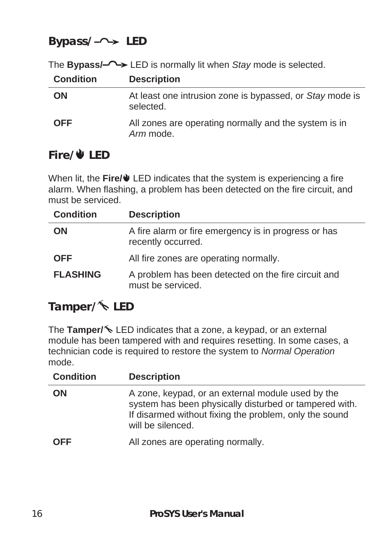#### **Bypass/ LED**

|                  | The <b>bypass<sub>i</sub></b> $\rightarrow$ LED is normally in when stay mode is selected. |
|------------------|--------------------------------------------------------------------------------------------|
| <b>Condition</b> | <b>Description</b>                                                                         |
| <b>ON</b>        | At least one intrusion zone is bypassed, or Stay mode is<br>selected.                      |
| <b>OFF</b>       | All zones are operating normally and the system is in<br>Arm mode.                         |

#### The **Bypass/** LED is normally lit when *Stay* mode is selected.

#### **Fire/ LED**

When lit, the Fire/ $\blacklozenge$  LED indicates that the system is experiencing a fire alarm. When flashing, a problem has been detected on the fire circuit, and must be serviced.

| <b>Condition</b> | <b>Description</b>                                                         |
|------------------|----------------------------------------------------------------------------|
| <b>ON</b>        | A fire alarm or fire emergency is in progress or has<br>recently occurred. |
| <b>OFF</b>       | All fire zones are operating normally.                                     |
| <b>FLASHING</b>  | A problem has been detected on the fire circuit and<br>must be serviced.   |

#### Tamper/<sup> $\leq$ </sup> LED

The Tamper/<sup> $\triangle$ </sup> LED indicates that a zone, a keypad, or an external module has been tampered with and requires resetting. In some cases, a technician code is required to restore the system to *Normal Operation* mode.

| <b>Condition</b> | <b>Description</b>                                                                                                                                                                         |
|------------------|--------------------------------------------------------------------------------------------------------------------------------------------------------------------------------------------|
| ΟN               | A zone, keypad, or an external module used by the<br>system has been physically disturbed or tampered with.<br>If disarmed without fixing the problem, only the sound<br>will be silenced. |
| <b>OFF</b>       | All zones are operating normally.                                                                                                                                                          |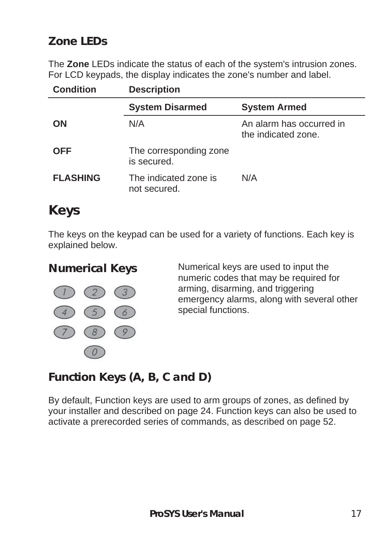#### **Zone LEDs**

The **Zone** LEDs indicate the status of each of the system's intrusion zones. For LCD keypads, the display indicates the zone's number and label.

| <b>Condition</b> | <b>Description</b>                    |                                                 |  |
|------------------|---------------------------------------|-------------------------------------------------|--|
|                  | <b>System Disarmed</b>                | <b>System Armed</b>                             |  |
| <b>ON</b>        | N/A                                   | An alarm has occurred in<br>the indicated zone. |  |
| <b>OFF</b>       | The corresponding zone<br>is secured. |                                                 |  |
| <b>FLASHING</b>  | The indicated zone is<br>not secured. | N/A                                             |  |

### **Keys**

The keys on the keypad can be used for a variety of functions. Each key is explained below.



**Numerical Keys** Numerical keys are used to input the numeric codes that may be required for arming, disarming, and triggering emergency alarms, along with several other special functions.

#### **Function Keys (A, B, C and D)**

By default, Function keys are used to arm groups of zones, as defined by your installer and described on page 24. Function keys can also be used to activate a prerecorded series of commands, as described on page 52.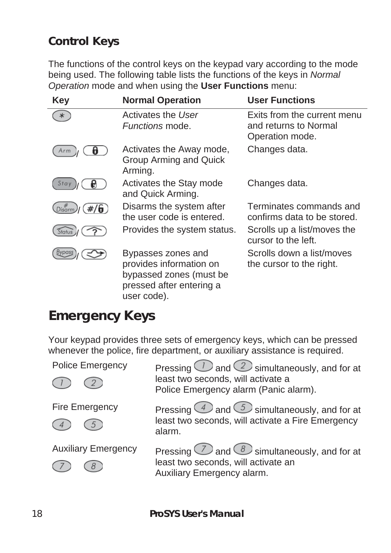#### **Control Keys**

The functions of the control keys on the keypad vary according to the mode being used. The following table lists the functions of the keys in *Normal Operation* mode and when using the **User Functions** menu:

| <b>Key</b>   | <b>Normal Operation</b>                                                                                             | <b>User Functions</b>                                                   |
|--------------|---------------------------------------------------------------------------------------------------------------------|-------------------------------------------------------------------------|
| ∗            | Activates the User<br><i>Functions</i> mode.                                                                        | Exits from the current menu<br>and returns to Normal<br>Operation mode. |
|              | Activates the Away mode,<br>Group Arming and Quick<br>Arming.                                                       | Changes data.                                                           |
| Stav         | Activates the Stay mode<br>and Quick Arming.                                                                        | Changes data.                                                           |
| #/6<br>Disam | Disarms the system after<br>the user code is entered.                                                               | Terminates commands and<br>confirms data to be stored.                  |
| Status       | Provides the system status.                                                                                         | Scrolls up a list/moves the<br>cursor to the left.                      |
|              | Bypasses zones and<br>provides information on<br>bypassed zones (must be<br>pressed after entering a<br>user code). | Scrolls down a list/moves<br>the cursor to the right.                   |

#### **Emergency Keys**

Your keypad provides three sets of emergency keys, which can be pressed whenever the police, fire department, or auxiliary assistance is required.

| <b>Police Emergency</b>    | Pressing $\bigcirc$ and $\bigcirc$ simultaneously, and for at<br>least two seconds, will activate a<br>Police Emergency alarm (Panic alarm). |
|----------------------------|----------------------------------------------------------------------------------------------------------------------------------------------|
| Fire Emergency             | Pressing $\bigcirc$ and $\bigcirc$ simultaneously, and for at<br>least two seconds, will activate a Fire Emergency<br>alarm.                 |
| <b>Auxiliary Emergency</b> | Pressing $\bigcirc$ and $\circledS$ simultaneously, and for at<br>least two seconds, will activate an<br>Auxiliary Emergency alarm.          |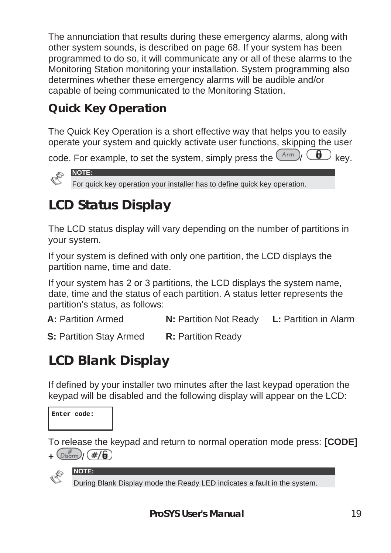The annunciation that results during these emergency alarms, along with other system sounds, is described on page 68*.* If your system has been programmed to do so, it will communicate any or all of these alarms to the Monitoring Station monitoring your installation. System programming also determines whether these emergency alarms will be audible and/or capable of being communicated to the Monitoring Station.

### **Quick Key Operation**

The Quick Key Operation is a short effective way that helps you to easily operate your system and quickly activate user functions, skipping the user

code. For example, to set the system, simply press the  $\overline{(Arm)}$   $\overline{(d)}$  key.



### **LCD Status Display**

The LCD status display will vary depending on the number of partitions in your system.

If your system is defined with only one partition, the LCD displays the partition name, time and date.

If your system has 2 or 3 partitions, the LCD displays the system name, date, time and the status of each partition. A status letter represents the partition's status, as follows:

**A:** Partition Armed **N:** Partition Not Ready **L:** Partition in Alarm

**S:** Partition Stav Armed **R:** Partition Ready

### **LCD Blank Display**

If defined by your installer two minutes after the last keypad operation the keypad will be disabled and the following display will appear on the LCD:



To release the keypad and return to normal operation mode press: **[CODE]**   $+$   $\left(\text{Disorm}\right)$   $\left(\frac{\#}{\bm{\theta}}\right)$ 



**NOTE:** 

During Blank Display mode the Ready LED indicates a fault in the system.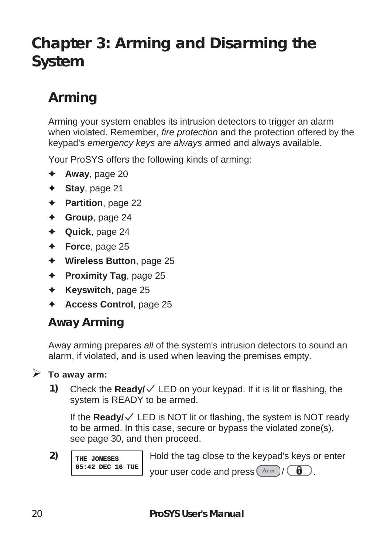### **Chapter 3: Arming and Disarming the System**

### **Arming**

Arming your system enables its intrusion detectors to trigger an alarm when violated. Remember, *fire protection* and the protection offered by the keypad's *emergency keys* are *always* armed and always available.

Your ProSYS offers the following kinds of arming:

- $\triangleleft$  **Away**, page 20
- ) **Stay**, page 21
- ) **Partition**, page 22
- ) **Group**, page 24
- ) **Quick**, page 24
- ) **Force**, page 25
- ) **Wireless Button**, page 25
- ) **Proximity Tag**, page 25
- ) **Keyswitch**, page 25
- ) **Access Control**, page 25

#### **Away Arming**

Away arming prepares *all* of the system's intrusion detectors to sound an alarm, if violated, and is used when leaving the premises empty.

#### ¾ **To away arm:**

**1)** Check the **Ready/**  $\checkmark$  LED on your keypad. If it is lit or flashing, the system is READY to be armed.

If the **Ready/** $\sqrt{\phantom{a}}$  LED is NOT lit or flashing, the system is NOT ready to be armed. In this case, secure or bypass the violated zone(s), see page 30, and then proceed.

**2) THE JONESES 05:42 DEC 16 TUE**

Hold the tag close to the keypad's keys or enter your user code and press  $\left(\begin{smallmatrix} Arm \\ \end{smallmatrix}\right)$   $\left(\begin{smallmatrix} \bullet \\ \bullet \end{smallmatrix}\right)$ .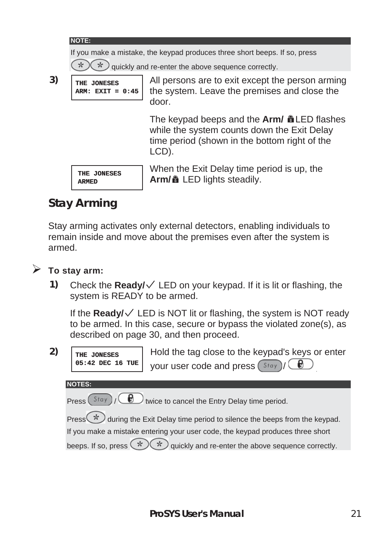#### **NOTE:**

If you make a mistake, the keypad produces three short beeps. If so, press

 $\star$ quickly and re-enter the above sequence correctly.

**3) THE JONESES**

**ARM: EXIT = 0:45** All persons are to exit except the person arming the system. Leave the premises and close the door.

> The keypad beeps and the **Arm/ ALED** flashes while the system counts down the Exit Delay time period (shown in the bottom right of the LCD).

**THE JONESES ARMED**

When the Exit Delay time period is up, the **Arm/** LED lights steadily.

#### **Stay Arming**

Stay arming activates only external detectors, enabling individuals to remain inside and move about the premises even after the system is armed.

- ¾ **To stay arm:** 
	- **1)** Check the **Ready/**  $\checkmark$  LED on your keypad. If it is lit or flashing, the system is READY to be armed.

If the **Ready/** $\sqrt{\phantom{a}}$  LED is NOT lit or flashing, the system is NOT ready to be armed. In this case, secure or bypass the violated zone(s), as described on page 30, and then proceed.

**2) THE JONESES 05:42 DEC 16 TUE**

Hold the tag close to the keypad's keys or enter your user code and press (Stay)

**NOTES:** 

Press  $(Stay)$  /  $\bigcirc$  twice to cancel the Entry Delay time period.

Press  $(\star)$  during the Exit Delay time period to silence the beeps from the keypad.

If you make a mistake entering your user code, the keypad produces three short

beeps. If so, press  $(\star)(\star)$  quickly and re-enter the above sequence correctly.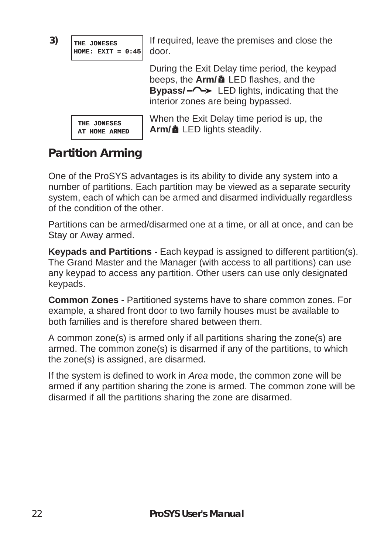

If required, leave the premises and close the

During the Exit Delay time period, the keypad beeps, the **Arm/** a LED flashes, and the **Bypass/** LED lights, indicating that the interior zones are being bypassed.

When the Exit Delay time period is up, the **Arm/** LED lights steadily.

#### **Partition Arming**

One of the ProSYS advantages is its ability to divide any system into a number of partitions. Each partition may be viewed as a separate security system, each of which can be armed and disarmed individually regardless of the condition of the other.

Partitions can be armed/disarmed one at a time, or all at once, and can be Stay or Away armed.

**Keypads and Partitions -** Each keypad is assigned to different partition(s). The Grand Master and the Manager (with access to all partitions) can use any keypad to access any partition. Other users can use only designated keypads.

**Common Zones -** Partitioned systems have to share common zones. For example, a shared front door to two family houses must be available to both families and is therefore shared between them.

A common zone(s) is armed only if all partitions sharing the zone(s) are armed. The common zone(s) is disarmed if any of the partitions, to which the zone(s) is assigned, are disarmed.

If the system is defined to work in *Area* mode, the common zone will be armed if any partition sharing the zone is armed. The common zone will be disarmed if all the partitions sharing the zone are disarmed.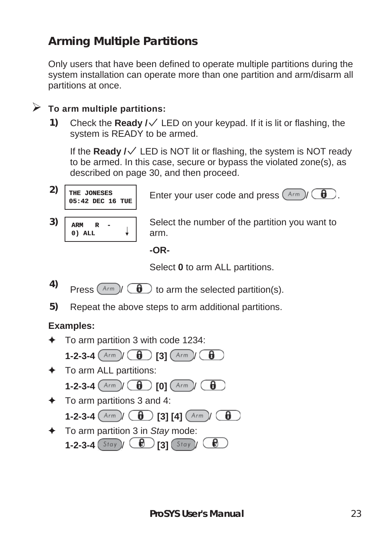#### **Arming Multiple Partitions**

Only users that have been defined to operate multiple partitions during the system installation can operate more than one partition and arm/disarm all partitions at once.

#### ¾ **To arm multiple partitions:**

1) Check the **Ready /**  $\sqrt{}$  LED on your keypad. If it is lit or flashing, the system is READY to be armed.

If the **Ready /** LED is NOT lit or flashing, the system is NOT ready to be armed. In this case, secure or bypass the violated zone(s), as described on page 30, and then proceed.

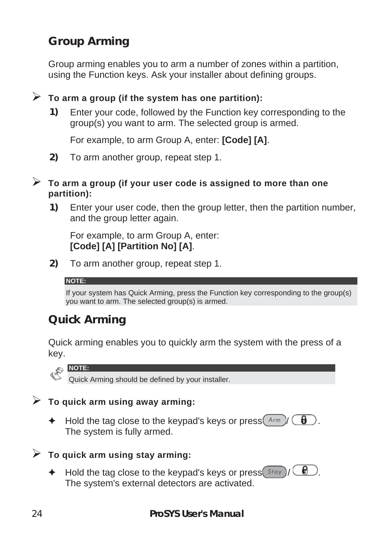#### **Group Arming**

Group arming enables you to arm a number of zones within a partition, using the Function keys. Ask your installer about defining groups.

#### ¾ **To arm a group (if the system has one partition):**

**1)** Enter your code, followed by the Function key corresponding to the group(s) you want to arm. The selected group is armed.

For example, to arm Group A, enter: **[Code] [A]**.

**2)** To arm another group, repeat step 1.

#### ¾ **To arm a group (if your user code is assigned to more than one partition):**

**1)** Enter your user code, then the group letter, then the partition number, and the group letter again.

For example, to arm Group A, enter: **[Code] [A] [Partition No] [A]**.

**2)** To arm another group, repeat step 1.

#### **NOTE:**

If your system has Quick Arming, press the Function key corresponding to the group(s) you want to arm. The selected group(s) is armed.

#### **Quick Arming**

Quick arming enables you to quickly arm the system with the press of a key.

**NOTE:** 

Quick Arming should be defined by your installer.

#### ¾ **To quick arm using away arming:**

 $\blacklozenge$  Hold the tag close to the keypad's keys or press  $\binom{Arm}{r}$   $\binom{e}{r}$ The system is fully armed.

#### ¾ **To quick arm using stay arming:**

 $\blacklozenge$  Hold the tag close to the keypad's keys or press  $\boxed{\text{Stay}}$  /  $\boxed{\color{red}\blacklozenge}$ The system's external detectors are activated.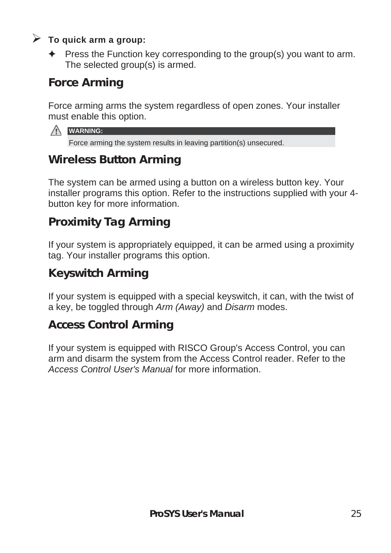#### ¾ **To quick arm a group:**

 $\triangleq$  Press the Function key corresponding to the group(s) you want to arm. The selected group(s) is armed.

#### **Force Arming**

Force arming arms the system regardless of open zones. Your installer must enable this option.

| в<br>M<br>۸V<br>. . |
|---------------------|
|                     |

Force arming the system results in leaving partition(s) unsecured.

#### **Wireless Button Arming**

The system can be armed using a button on a wireless button key. Your installer programs this option. Refer to the instructions supplied with your 4 button key for more information.

#### **Proximity Tag Arming**

If your system is appropriately equipped, it can be armed using a proximity tag. Your installer programs this option.

#### **Keyswitch Arming**

If your system is equipped with a special keyswitch, it can, with the twist of a key, be toggled through *Arm (Away)* and *Disarm* modes.

#### **Access Control Arming**

If your system is equipped with RISCO Group's Access Control, you can arm and disarm the system from the Access Control reader. Refer to the *Access Control User's Manual* for more information.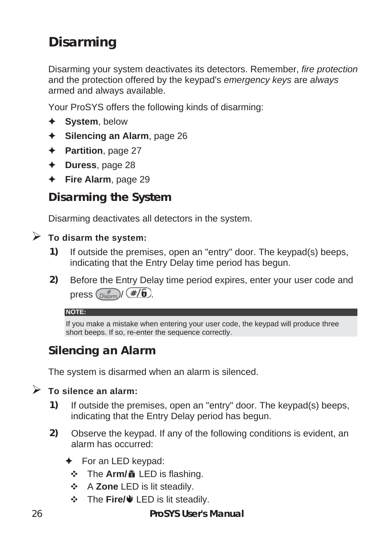### **Disarming**

Disarming your system deactivates its detectors. Remember, *fire protection* and the protection offered by the keypad's *emergency keys* are *always* armed and always available.

Your ProSYS offers the following kinds of disarming:

- ) **System**, below
- ) **Silencing an Alarm**, page 26
- ) **Partition**, page 27
- ) **Duress**, page 28
- ) **Fire Alarm**, page 29

#### **Disarming the System**

Disarming deactivates all detectors in the system.

#### ¾ **To disarm the system:**

- **1)** If outside the premises, open an "entry" door. The keypad(s) beeps, indicating that the Entry Delay time period has begun.
- **2)** Before the Entry Delay time period expires, enter your user code and press  $\binom{m}{\text{Disorm}}$  (#/6).

#### **NOTE:**

If you make a mistake when entering your user code, the keypad will produce three short beeps. If so, re-enter the sequence correctly.

#### **Silencing an Alarm**

The system is disarmed when an alarm is silenced.

#### ¾ **To silence an alarm:**

- **1)** If outside the premises, open an "entry" door. The keypad(s) beeps, indicating that the Entry Delay period has begun.
- **2)** Observe the keypad. If any of the following conditions is evident, an alarm has occurred:
	- $\div$  For an LED keypad:
		- $\div$  The **Arm/ i** LED is flashing.
		- Y A **Zone** LED is lit steadily.
		- $\div$  The Fire/ $\overline{\phantom{a}}$  LED is lit steadily.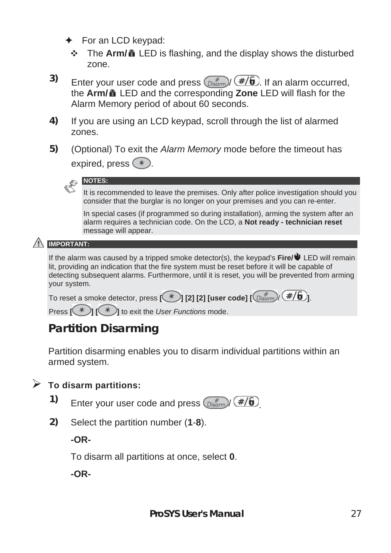- $\div$  For an LCD keypad:
	- $\cdot$  The Arm/**a** LED is flashing, and the display shows the disturbed zone.
- **3)** Enter your user code and press  $\left(\frac{m}{\theta}\right)^{T}$  (#/6). If an alarm occurred, the **Arm/** LED and the corresponding **Zone** LED will flash for the Alarm Memory period of about 60 seconds.
- **4)** If you are using an LCD keypad, scroll through the list of alarmed zones.
- **5)** (Optional) To exit the *Alarm Memory* mode before the timeout has expired, press  $(*)$ .



It is recommended to leave the premises. Only after police investigation should you consider that the burglar is no longer on your premises and you can re-enter.

In special cases (if programmed so during installation), arming the system after an alarm requires a technician code. On the LCD, a **Not ready - technician reset** message will appear.

#### **IMPORTANT:**

If the alarm was caused by a tripped smoke detector(s), the keypad's **Fire/** LED will remain lit, providing an indication that the fire system must be reset before it will be capable of detecting subsequent alarms. Furthermore, until it is reset, you will be prevented from arming your system.

To reset a smoke detector, press  $\overline{[\ast]}$  [2] [2] [user code]  $\overline{[\bullet]}$ .  $\overline{[\ast]}$ 

Press  $[\mathcal{F}]$   $[\mathcal{F}]$  to exit the *User Functions* mode.

#### **Partition Disarming**

Partition disarming enables you to disarm individual partitions within an armed system.

#### ¾ **To disarm partitions:**

- **1)** Enter your user code and press  $\binom{m}{\text{Disom}}$  (#/6)
- **2)** Select the partition number (**1**-**8**).

**-OR-**

To disarm all partitions at once, select **0**.

**-OR-**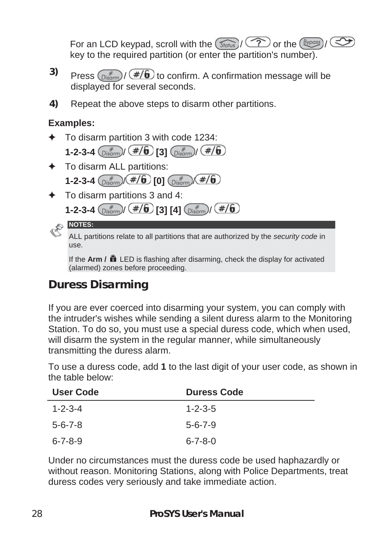For an LCD keypad, scroll with the  $(\widehat{\mathcal{S}_{\text{fatus}}})/\widehat{\mathcal{P}}$  or the  $(\widehat{\mathcal{B}}_{\text{Ypass}})/\widehat{\mathcal{S}}$ key to the required partition (or enter the partition's number).

- **3)** Press  $\left(\frac{f}{\text{Disom}}\right)$   $\left(\frac{f}{f}\right)$  to confirm. A confirmation message will be displayed for several seconds.
- **4)** Repeat the above steps to disarm other partitions.

#### **Examples:**

- ) To disarm partition 3 with code 1234:
	- **1-2-3-4**  $\left(\frac{\#}{\text{Disform}}\right)$   $\left(\frac{\#}{6}\right)$  [3]  $\left(\frac{\#}{\text{Disform}}\right)$   $\left(\frac{\#}{6}\right)$
- ) To disarm ALL partitions: **1-2-3-4**  $\binom{m}{\text{Disorm}}$   $\left(\frac{\#}{6}\right)$  [0]  $\binom{m}{\text{Disorm}}$   $\left(\frac{\#}{6}\right)$
- ) To disarm partitions 3 and 4:
	- **1-2-3-4**  $\frac{m}{\sqrt{2\pi}}(1+\sqrt{6})$  **[3] [4]**  $\frac{m}{\sqrt{2\pi}}(1+\sqrt{6})$

**NOTES:** 

ALL partitions relate to all partitions that are authorized by the *security code* in use.

If the **Arm /** LED is flashing after disarming, check the display for activated (alarmed) zones before proceeding.

#### **Duress Disarming**

If you are ever coerced into disarming your system, you can comply with the intruder's wishes while sending a silent duress alarm to the Monitoring Station. To do so, you must use a special duress code, which when used, will disarm the system in the regular manner, while simultaneously transmitting the duress alarm.

To use a duress code, add **1** to the last digit of your user code, as shown in the table below:

| <b>User Code</b> | <b>Duress Code</b> |
|------------------|--------------------|
| $1 - 2 - 3 - 4$  | $1 - 2 - 3 - 5$    |
| $5 - 6 - 7 - 8$  | $5 - 6 - 7 - 9$    |
| 6-7-8-9          | $6 - 7 - 8 - 0$    |

Under no circumstances must the duress code be used haphazardly or without reason. Monitoring Stations, along with Police Departments, treat duress codes very seriously and take immediate action.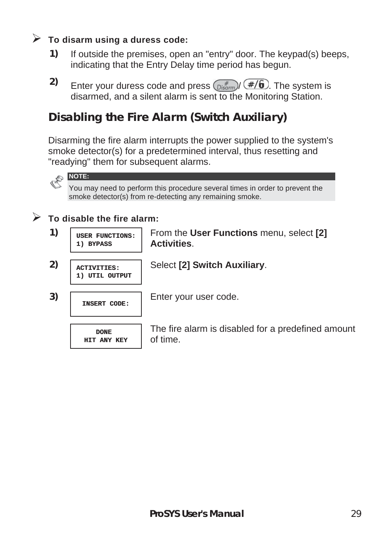#### ¾ **To disarm using a duress code:**

- **1)** If outside the premises, open an "entry" door. The keypad(s) beeps, indicating that the Entry Delay time period has begun.
- **2)** Enter your duress code and press  $\left(\frac{m}{\text{F}}\right)^{T}$  The system is disarmed, and a silent alarm is sent to the Monitoring Station.

#### **Disabling the Fire Alarm (Switch Auxiliary)**

Disarming the fire alarm interrupts the power supplied to the system's smoke detector(s) for a predetermined interval, thus resetting and "readying" them for subsequent alarms.



You may need to perform this procedure several times in order to prevent the smoke detector(s) from re-detecting any remaining smoke.

#### $\triangleright$  To disable the fire alarm:

**1) BYPASS**

- **1) USER FUNCTIONS:**
- From the **User Functions** menu, select **[2] Activities**.
- **2) ACTIVITIES: 1) UTIL OUTPUT**

Select **[2] Switch Auxiliary**.

**3) INSERT CODE:** Enter your user code.

**DONE HIT ANY KEY** The fire alarm is disabled for a predefined amount of time.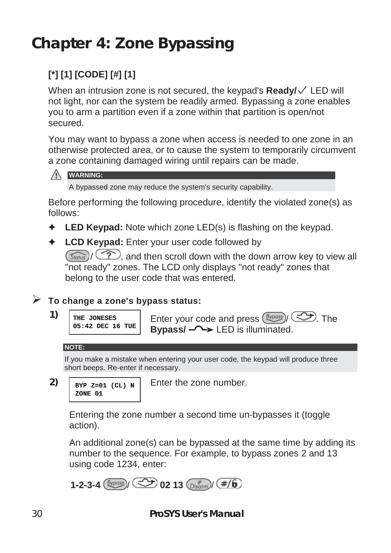### **Chapter 4: Zone Bypassing**

### **[\*] [1] [CODE] [#] [1]**

When an intrusion zone is not secured, the keypad's **Ready/** LED will not light, nor can the system be readily armed. Bypassing a zone enables you to arm a partition even if a zone within that partition is open/not secured.

You may want to bypass a zone when access is needed to one zone in an otherwise protected area, or to cause the system to temporarily circumvent a zone containing damaged wiring until repairs can be made.



A bypassed zone may reduce the system's security capability.

Before performing the following procedure, identify the violated zone(s) as follows:

- ) **LED Keypad:** Note which zone LED(s) is flashing on the keypad.
- ) **LCD Keypad:** Enter your user code followed by

 $(\widehat{\mathcal{S}_{\text{fotts}}})/\widehat{\langle\mathcal{P}\rangle}$ , and then scroll down with the down arrow key to view all "not ready" zones. The LCD only displays "not ready" zones that belong to the user code that was entered.

#### ¾ **To change a zone's bypass status:**

```
1) THE JONESES
     05:42 DEC 16 TUE
                      Enter your code and press (Bypass)/ <a>>>
The
                      Bypass/ LED is illuminated.
```
#### **NOTE:**

If you make a mistake when entering your user code, the keypad will produce three short beeps. Re-enter if necessary.

```
2) BYP Z=01 (CL) N
     ZONE 01
```
Enter the zone number.

Entering the zone number a second time un-bypasses it (toggle action).

An additional zone(s) can be bypassed at the same time by adding its number to the sequence. For example, to bypass zones 2 and 13 using code 1234, enter:

1-2-3-4 
$$
\frac{\text{Bypass}}{\text{By}} / \text{CD}
$$
 02 13  $\frac{\text{by terms}}{\text{Disform}}$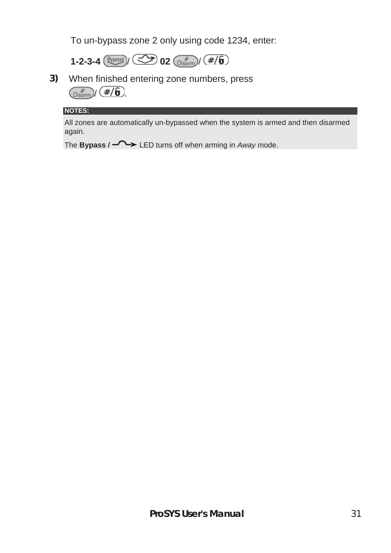To un-bypass zone 2 only using code 1234, enter:



**3)** When finished entering zone numbers, press  $\binom{m}{\text{Disarm}}$  (#/6)

#### **NOTES:**

All zones are automatically un-bypassed when the system is armed and then disarmed again.

The **Bypass / - LED** turns off when arming in *Away* mode.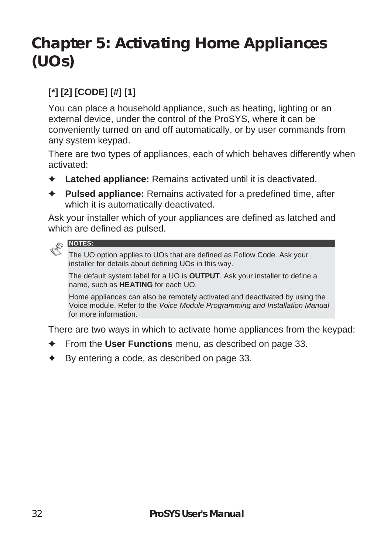### **Chapter 5: Activating Home Appliances (UOs)**

#### **[\*] [2] [CODE] [#] [1]**

You can place a household appliance, such as heating, lighting or an external device, under the control of the ProSYS, where it can be conveniently turned on and off automatically, or by user commands from any system keypad.

There are two types of appliances, each of which behaves differently when activated:

- ) **Latched appliance:** Remains activated until it is deactivated.
- ) **Pulsed appliance:** Remains activated for a predefined time, after which it is automatically deactivated.

Ask your installer which of your appliances are defined as latched and which are defined as pulsed.



The UO option applies to UOs that are defined as Follow Code. Ask your installer for details about defining UOs in this way.

The default system label for a UO is **OUTPUT**. Ask your installer to define a name, such as **HEATING** for each UO.

Home appliances can also be remotely activated and deactivated by using the Voice module. Refer to the *Voice Module Programming and Installation Manual* for more information.

There are two ways in which to activate home appliances from the keypad:

- ) From the **User Functions** menu, as described on page 33.
- ) By entering a code, as described on page 33.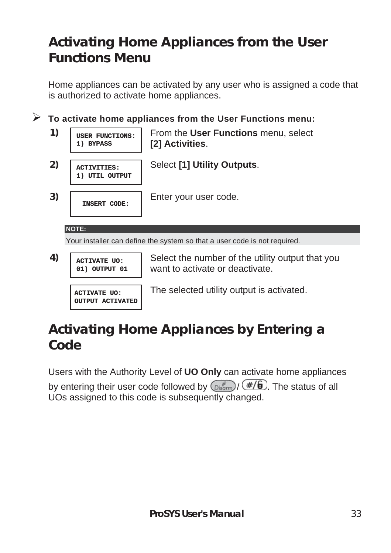### **Activating Home Appliances from the User Functions Menu**

Home appliances can be activated by any user who is assigned a code that is authorized to activate home appliances.

¾ **To activate home appliances from the User Functions menu: 1) USER FUNCTIONS: 1) BYPASS** From the **User Functions** menu, select **[2] Activities**. **2) ACTIVITIES: 1) UTIL OUTPUT** Select **[1] Utility Outputs**. **3) INSERT CODE:** Enter your user code. **NOTE:**  Your installer can define the system so that a user code is not required. **4) ACTIVATE UO: 01) OUTPUT 01** Select the number of the utility output that you want to activate or deactivate.

#### **ACTIVATE UO: OUTPUT ACTIVATED**

The selected utility output is activated.

### **Activating Home Appliances by Entering a Code**

Users with the Authority Level of **UO Only** can activate home appliances

by entering their user code followed by  $\binom{m}{\text{Disorm}}$  ( $\frac{\#}{\ket{0}}$ . The status of all UOs assigned to this code is subsequently changed.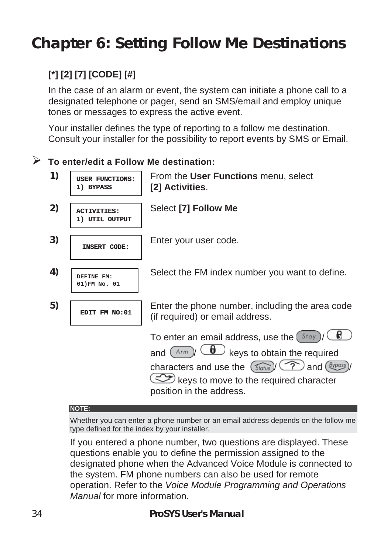### **Chapter 6: Setting Follow Me Destinations**

#### **[\*] [2] [7] [CODE] [#]**

In the case of an alarm or event, the system can initiate a phone call to a designated telephone or pager, send an SMS/email and employ unique tones or messages to express the active event.

Your installer defines the type of reporting to a follow me destination. Consult your installer for the possibility to report events by SMS or Email.

#### ¾ **To enter/edit a Follow Me destination:**

**1) USER FUNCTIONS: 1) BYPASS** From the **User Functions** menu, select **[2] Activities**. **2) ACTIVITIES: 1) UTIL OUTPUT** Select **[7] Follow Me 3) INSERT CODE:** Enter your user code. **4) DEFINE FM: 01)FM No. 01** Select the FM index number you want to define. **5) EDIT FM NO:01** Enter the phone number, including the area code (if required) or email address. To enter an email address, use the  $(Stay)$ / and  $\overline{(A_{\ell m})}/\overline{(B)}$  keys to obtain the required characters and use the  $\left(\widehat{S_{\text{tatus}}}\right)\left(\widehat{S_{\text{t}}}\right)$  and  $\left(\widehat{B_{\text{tpos}}}\right)$ keys to move to the required character position in the address.

#### **NOTE:**

Whether you can enter a phone number or an email address depends on the follow me type defined for the index by your installer.

If you entered a phone number, two questions are displayed. These questions enable you to define the permission assigned to the designated phone when the Advanced Voice Module is connected to the system. FM phone numbers can also be used for remote operation. Refer to the *Voice Module Programming and Operations Manual* for more information.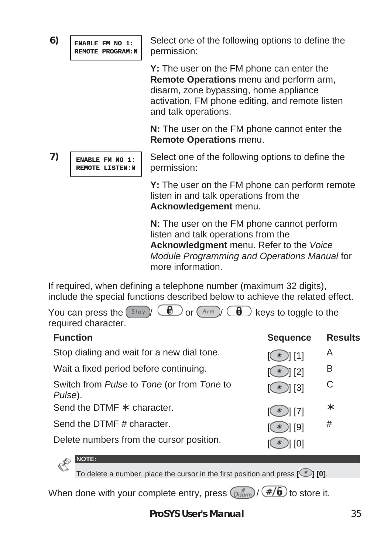**6) ENABLE FM NO 1: REMOTE PROGRAM:N**

**REMOTE LISTEN:N**

Select one of the following options to define the permission:

**Y:** The user on the FM phone can enter the **Remote Operations** menu and perform arm, disarm, zone bypassing, home appliance activation, FM phone editing, and remote listen and talk operations.

**N:** The user on the FM phone cannot enter the **Remote Operations** menu.

Select one of the following options to define the permission:

**Y:** The user on the FM phone can perform remote listen in and talk operations from the **Acknowledgement** menu.

**N:** The user on the FM phone cannot perform listen and talk operations from the **Acknowledgment** menu. Refer to the *Voice Module Programming and Operations Manual* for more information.

If required, when defining a telephone number (maximum 32 digits), include the special functions described below to achieve the related effect.

You can press the  $(\mathcal{S}^{tay}) \setminus \bigcirc \mathcal{B}$  or  $(\mathcal{A}^{rm}) \setminus \bigcirc \mathcal{B}$  keys to toggle to the required character.

| <b>Function</b>                                       | <b>Sequence</b> | <b>Results</b> |
|-------------------------------------------------------|-----------------|----------------|
| Stop dialing and wait for a new dial tone.            | $(\ast)$ [1]    | A              |
| Wait a fixed period before continuing.                | $(\ast)$ [2]    | В              |
| Switch from Pulse to Tone (or from Tone to<br>Pulse). | $(\ast)$ [3]    | C              |
| Send the DTMF $*$ character.                          | $(\ast )$ [7]   | ∗              |
| Send the DTMF # character.                            | $(\ast)$   [9]  | #              |
| Delete numbers from the cursor position.              | 1 [0]           |                |

To delete a number, place the cursor in the first position and press  $\lceil \bigcirc \rceil$  **[0]**.

When done with your complete entry, press  $\binom{m}{\text{Disom}}$  /  $\left(\frac{\#}{\mathbf{0}}\right)$  to store it.

**7) ENABLE FM NO 1:**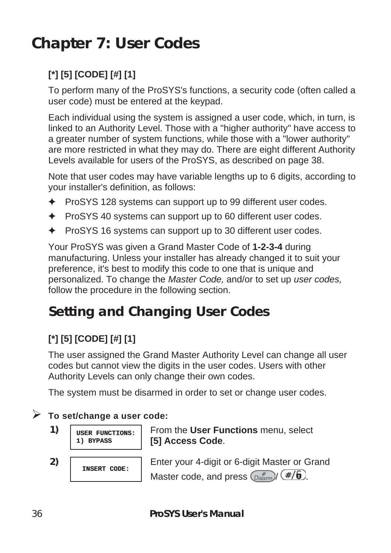### **Chapter 7: User Codes**

### **[\*] [5] [CODE] [#] [1]**

To perform many of the ProSYS's functions, a security code (often called a user code) must be entered at the keypad.

Each individual using the system is assigned a user code, which, in turn, is linked to an Authority Level. Those with a "higher authority" have access to a greater number of system functions, while those with a "lower authority" are more restricted in what they may do. There are eight different Authority Levels available for users of the ProSYS, as described on page 38.

Note that user codes may have variable lengths up to 6 digits, according to your installer's definition, as follows:

- ) ProSYS 128 systems can support up to 99 different user codes.
- $\div$  ProSYS 40 systems can support up to 60 different user codes.
- $\div$  ProSYS 16 systems can support up to 30 different user codes.

Your ProSYS was given a Grand Master Code of **1-2-3-4** during manufacturing. Unless your installer has already changed it to suit your preference, it's best to modify this code to one that is unique and personalized. To change the *Master Code,* and/or to set up *user codes,* follow the procedure in the following section.

### **Setting and Changing User Codes**

### **[\*] [5] [CODE] [#] [1]**

The user assigned the Grand Master Authority Level can change all user codes but cannot view the digits in the user codes. Users with other Authority Levels can only change their own codes.

The system must be disarmed in order to set or change user codes.

#### ¾ **To set/change a user code:**

**1) USER FUNCTIONS: 1) BYPASS**

From the **User Functions** menu, select **[5] Access Code**.

**2) INSERT CODE:** Enter your 4-digit or 6-digit Master or Grand Master code, and press  $\binom{m}{\text{Disform}}$  (#/ $\theta$ ).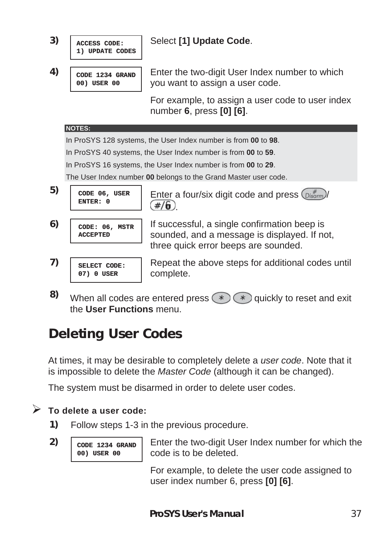

the **User Functions** menu.

## **Deleting User Codes**

At times, it may be desirable to completely delete a *user code*. Note that it is impossible to delete the *Master Code* (although it can be changed).

The system must be disarmed in order to delete user codes.

#### ¾ **To delete a user code:**

- **1)** Follow steps 1-3 in the previous procedure.
- **2) CODE 1234 GRAND 00) USER 00**

Enter the two-digit User Index number for which the code is to be deleted.

For example, to delete the user code assigned to user index number 6, press **[0] [6]**.

**ProSYS User's Manual** 37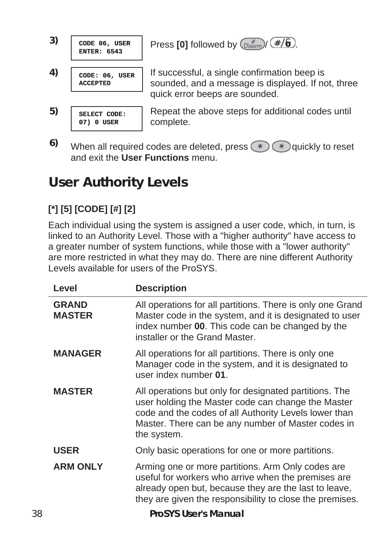



quick error beeps are sounded. Repeat the above steps for additional codes until complete.

**6)** When all required codes are deleted, press  $\left(\ast\right)$   $\left(\ast\right)$  quickly to reset and exit the **User Functions** menu.

## **User Authority Levels**

### **[\*] [5] [CODE] [#] [2]**

Each individual using the system is assigned a user code, which, in turn, is linked to an Authority Level. Those with a "higher authority" have access to a greater number of system functions, while those with a "lower authority" are more restricted in what they may do. There are nine different Authority Levels available for users of the ProSYS.

|    | Level                         | <b>Description</b>                                                                                                                                                                                                                         |
|----|-------------------------------|--------------------------------------------------------------------------------------------------------------------------------------------------------------------------------------------------------------------------------------------|
|    | <b>GRAND</b><br><b>MASTER</b> | All operations for all partitions. There is only one Grand<br>Master code in the system, and it is designated to user<br>index number 00. This code can be changed by the<br>installer or the Grand Master.                                |
|    | <b>MANAGER</b>                | All operations for all partitions. There is only one<br>Manager code in the system, and it is designated to<br>user index number 01.                                                                                                       |
|    | <b>MASTER</b>                 | All operations but only for designated partitions. The<br>user holding the Master code can change the Master<br>code and the codes of all Authority Levels lower than<br>Master. There can be any number of Master codes in<br>the system. |
|    | <b>USER</b>                   | Only basic operations for one or more partitions.                                                                                                                                                                                          |
|    | <b>ARM ONLY</b>               | Arming one or more partitions. Arm Only codes are<br>useful for workers who arrive when the premises are<br>already open but, because they are the last to leave,<br>they are given the responsibility to close the premises.              |
| 38 |                               | <b>ProSYS User's Manual</b>                                                                                                                                                                                                                |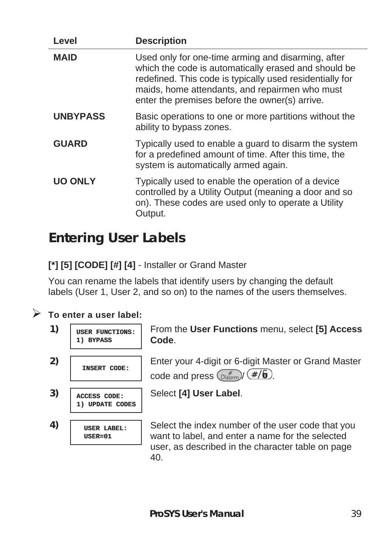| Level           | <b>Description</b>                                                                                                                                                                                                                                                         |
|-----------------|----------------------------------------------------------------------------------------------------------------------------------------------------------------------------------------------------------------------------------------------------------------------------|
| <b>MAID</b>     | Used only for one-time arming and disarming, after<br>which the code is automatically erased and should be<br>redefined. This code is typically used residentially for<br>maids, home attendants, and repairmen who must<br>enter the premises before the owner(s) arrive. |
| <b>UNBYPASS</b> | Basic operations to one or more partitions without the<br>ability to bypass zones.                                                                                                                                                                                         |
| <b>GUARD</b>    | Typically used to enable a guard to disarm the system<br>for a predefined amount of time. After this time, the<br>system is automatically armed again.                                                                                                                     |
| <b>UO ONLY</b>  | Typically used to enable the operation of a device<br>controlled by a Utility Output (meaning a door and so<br>on). These codes are used only to operate a Utility<br>Output.                                                                                              |

## **Entering User Labels**

**[\*] [5] [CODE] [#] [4]** - Installer or Grand Master

You can rename the labels that identify users by changing the default labels (User 1, User 2, and so on) to the names of the users themselves.

#### ¾ **To enter a user label:**

**1) USER FUNCTIONS: 1) BYPASS 3) ACCESS CODE: 1) UPDATE CODES 4) USER LABEL: USER=01**

From the **User Functions** menu, select **[5] Access Code**.

**2) INSERT CODE:** Enter your 4-digit or 6-digit Master or Grand Master code and press  $\binom{m}{\text{Disform}}$  (#/6).

Select **[4] User Label**.

Select the index number of the user code that you want to label, and enter a name for the selected user, as described in the character table on page 40.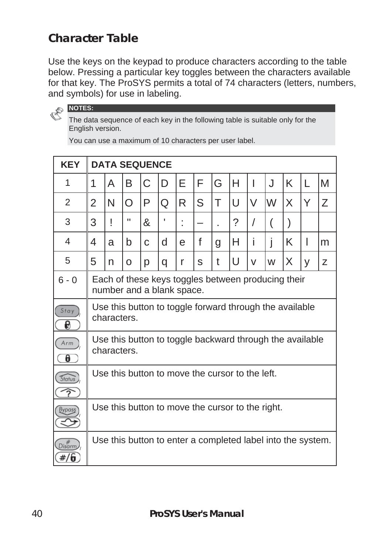#### **Character Table**

Use the keys on the keypad to produce characters according to the table below. Pressing a particular key toggles between the characters available for that key. The ProSYS permits a total of 74 characters (letters, numbers, and symbols) for use in labeling.



The data sequence of each key in the following table is suitable only for the English version.

**KEY DATA SEQUENCE**  1 || 1 || A || B || C || D || E || F || G || H || I || J || K || L || M 2 2 N O P Q R S T U V W X Y Z 3 | 3 | ! | " |& | ' | : | - | . | ? | / | ( | ) 4 ||4 ||a ||b ||c ||d ||e ||f ||g ||H ||i ||j ||K || I||m 5 || 5 || n || o || p || q || r || s || t || U || v || w || X || y || z 6 - 0 | Each of these keys toggles between producing their number and a blank space. Use this button to toggle forward through the available  $Stay$ characters.  $\overline{\boldsymbol{\theta}}$ Use this button to toggle backward through the available Arm / characters.  $\theta$ Use this button to move the cursor to the left. Status /  $\widehat{\Upsilon}$ Use this button to move the cursor to the right. **Bypass** / Use this button to enter a completed label into the system. $Disarm$ )  $\#/6$ 

You can use a maximum of 10 characters per user label.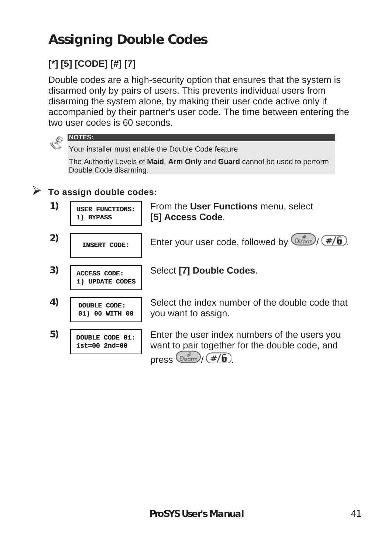# **Assigning Double Codes**

## **[\*] [5] [CODE] [#] [7]**

Double codes are a high-security option that ensures that the system is disarmed only by pairs of users. This prevents individual users from disarming the system alone, by making their user code active only if accompanied by their partner's user code. The time between entering the two user codes is 60 seconds.



Your installer must enable the Double Code feature.

The Authority Levels of **Maid**, **Arm Only** and **Guard** cannot be used to perform Double Code disarming.

#### ¾ **To assign double codes:**

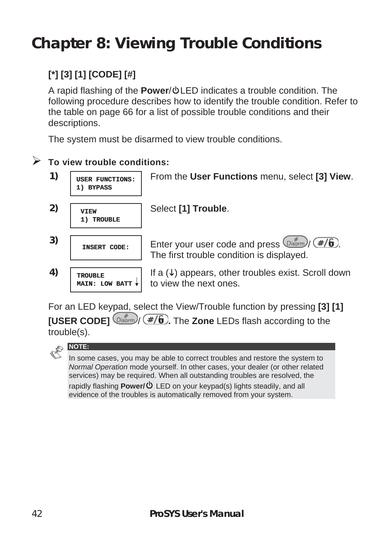# **Chapter 8: Viewing Trouble Conditions**

#### **[\*] [3] [1] [CODE] [#]**

A rapid flashing of the **Power**/ $\Phi$ LED indicates a trouble condition. The following procedure describes how to identify the trouble condition. Refer to the table on page 66 for a list of possible trouble conditions and their descriptions.

The system must be disarmed to view trouble conditions.

#### ¾ **To view trouble conditions:**

- **1) USER FUNCTIONS: 1) BYPASS**
- **2) VIEW 1) TROUBLE**

Select **[1] Trouble**.

3) **INSERT CODE:** Enter your user code and press  $\frac{p_{isom}}{p_{isom}}$  ( $\#$ /6).

**MAIN: LOW BATT**

The first trouble condition is displayed. If a  $(\downarrow)$  appears, other troubles exist. Scroll down

From the **User Functions** menu, select **[3] View**.

For an LED keypad, select the View/Trouble function by pressing **[3] [1] [USER CODE]**  $\frac{m^*}{2}$  (#/**6**). The **Zone** LEDs flash according to the trouble(s).

to view the next ones.



**4) TROUBLE**

In some cases, you may be able to correct troubles and restore the system to *Normal Operation* mode yourself. In other cases, your dealer (or other related services) may be required. When all outstanding troubles are resolved, the rapidly flashing **Power/** LED on your keypad(s) lights steadily, and all evidence of the troubles is automatically removed from your system.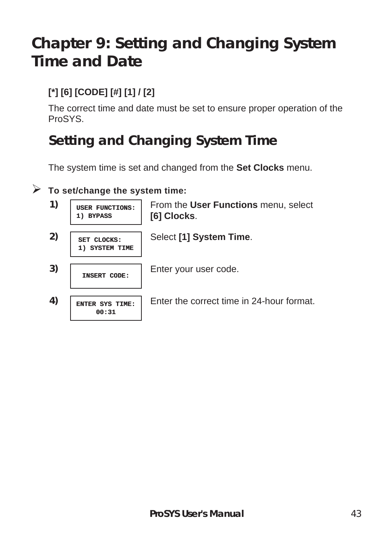# **Chapter 9: Setting and Changing System Time and Date**

#### **[\*] [6] [CODE] [#] [1] / [2]**

The correct time and date must be set to ensure proper operation of the ProSYS.

## **Setting and Changing System Time**

The system time is set and changed from the **Set Clocks** menu.

#### ¾ **To set/change the system time:**

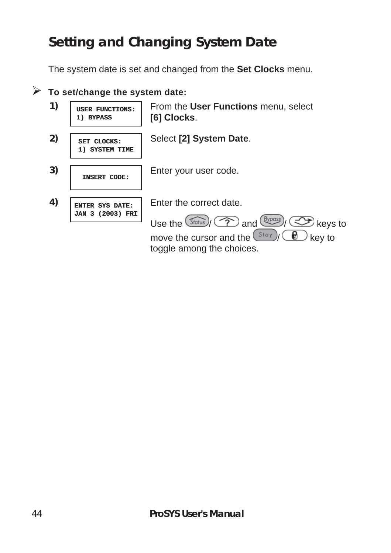# **Setting and Changing System Date**

The system date is set and changed from the **Set Clocks** menu.

#### ¾ **To set/change the system date:**

**1) USER FUNCTIONS: 1) BYPASS**

From the **User Functions** menu, select **[6] Clocks**.

**2) SET CLOCKS: 1) SYSTEM TIME** Select **[2] System Date**.

**3) INSERT CODE:** Enter your user code.

**4) ENTER SYS DATE: JAN 3 (2003) FRI** Enter the correct date.

Use the  $\left(\sqrt[3]{\frac{Byp\text{cos}}{p}}\right)$  and  $\left(\frac{Byp\text{cos}}{p}\right)$  keys to move the cursor and the  $\left(\frac{Stay}{\epsilon}\right)$  ( $\bigoplus$  key to toggle among the choices.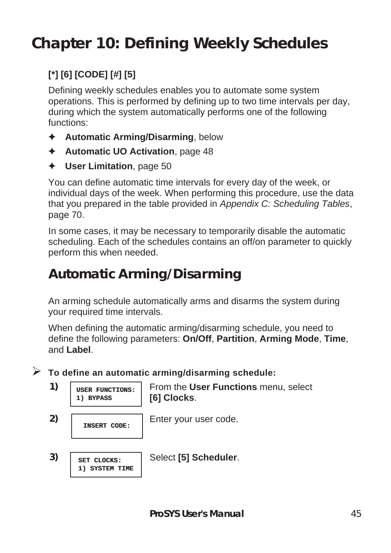# **Chapter 10: Defining Weekly Schedules**

#### **[\*] [6] [CODE] [#] [5]**

Defining weekly schedules enables you to automate some system operations. This is performed by defining up to two time intervals per day, during which the system automatically performs one of the following functions:

- ) **Automatic Arming/Disarming**, below
- ) **Automatic UO Activation**, page 48
- ) **User Limitation**, page 50

You can define automatic time intervals for every day of the week, or individual days of the week. When performing this procedure, use the data that you prepared in the table provided in *Appendix C: Scheduling Tables*, page 70.

In some cases, it may be necessary to temporarily disable the automatic scheduling. Each of the schedules contains an off/on parameter to quickly perform this when needed.

## **Automatic Arming/Disarming**

An arming schedule automatically arms and disarms the system during your required time intervals.

When defining the automatic arming/disarming schedule, you need to define the following parameters: **On/Off**, **Partition**, **Arming Mode**, **Time**, and **Label**.

¾ **To define an automatic arming/disarming schedule:** 

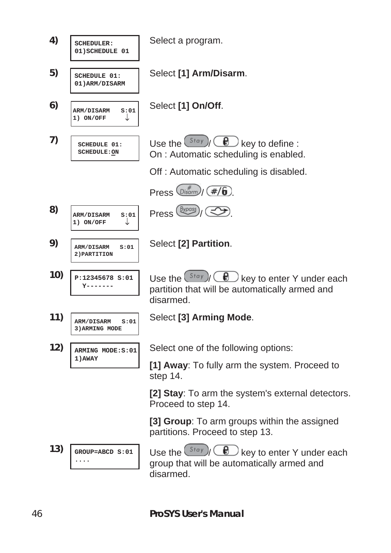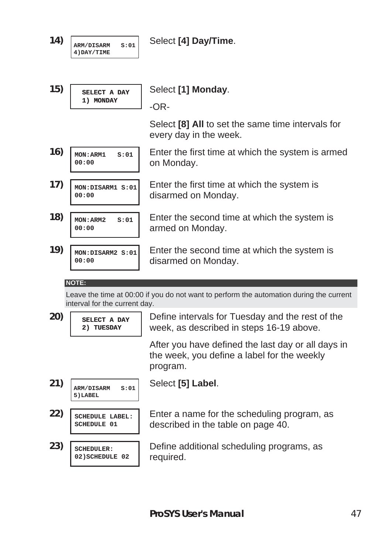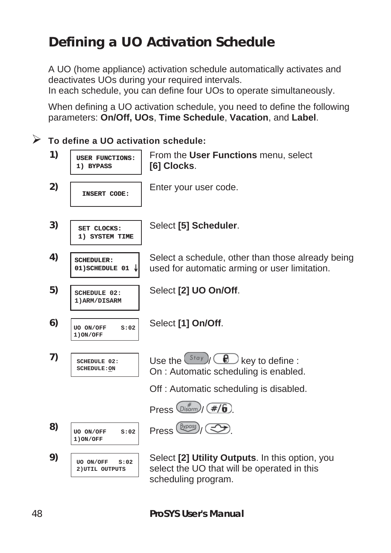## **Defining a UO Activation Schedule**

A UO (home appliance) activation schedule automatically activates and deactivates UOs during your required intervals.

In each schedule, you can define four UOs to operate simultaneously.

When defining a UO activation schedule, you need to define the following parameters: **On/Off, UOs**, **Time Schedule**, **Vacation**, and **Label**.

¾ **To define a UO activation schedule:** 

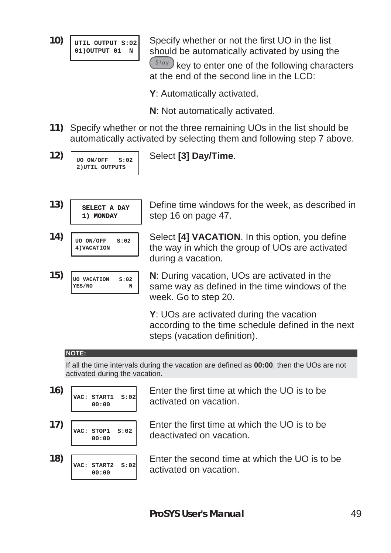**10) UTIL OUTPUT S:02 01) OUTPUT** 01 **N 01)OUTPUT 01 N**

Specify whether or not the first UO in the list should be automatically activated by using the

 $\binom{Stay}{k}$  key to enter one of the following characters at the end of the second line in the  $LOD^T$ 

- **Y**: Automatically activated.
- **N**: Not automatically activated.
- **11)** Specify whether or not the three remaining UOs in the list should be automatically activated by selecting them and following step 7 above.
- **12) UO ON/OFF S:02 2)UTIL OUTPUTS**

Select **[3] Day/Time**.

- **13) SELECT A DAY 1) MONDAY**
- **14) UO ON/OFF S:02 4)VACATION**
- **15) UO VACATION S:02 YES/NO N**

Define time windows for the week, as described in step 16 on page 47.

- Select **[4] VACATION**. In this option, you define the way in which the group of UOs are activated during a vacation.
	- **N**: During vacation, UOs are activated in the same way as defined in the time windows of the week. Go to step 20.

**Y**: UOs are activated during the vacation according to the time schedule defined in the next steps (vacation definition).

#### **NOTE:**

If all the time intervals during the vacation are defined as **00:00**, then the UOs are not activated during the vacation.

**16) VAC: START1 S:02 00:00 17) VAC: STOP1 S:02 00:00**

Enter the first time at which the UO is to be activated on vacation.

- Enter the first time at which the UO is to be deactivated on vacation.
- **18) VAC: START2 S:02 00:00**

Enter the second time at which the UO is to be activated on vacation.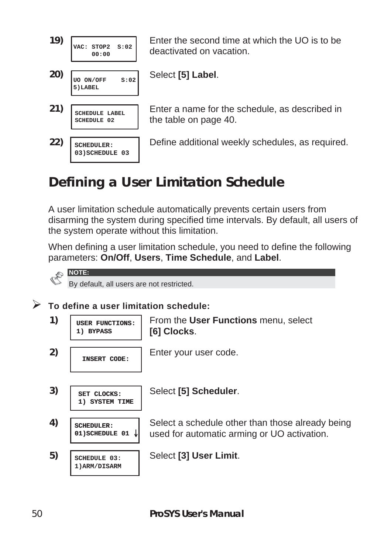

Enter the second time at which the UO is to be deactivated on vacation.

Select **[5] Label**.

Enter a name for the schedule, as described in the table on page 40.

Define additional weekly schedules, as required.

# **Defining a User Limitation Schedule**

A user limitation schedule automatically prevents certain users from disarming the system during specified time intervals. By default, all users of the system operate without this limitation.

When defining a user limitation schedule, you need to define the following parameters: **On/Off**, **Users**, **Time Schedule**, and **Label**.

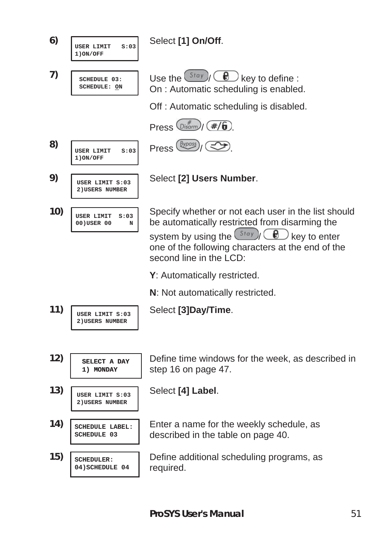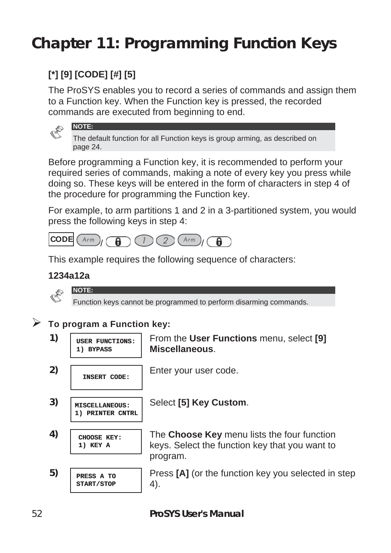# **Chapter 11: Programming Function Keys**

### **[\*] [9] [CODE] [#] [5]**

**NOTE:** 

The ProSYS enables you to record a series of commands and assign them to a Function key. When the Function key is pressed, the recorded commands are executed from beginning to end.

The default function for all Function keys is group arming, as described on page 24.

Before programming a Function key, it is recommended to perform your required series of commands, making a note of every key you press while doing so. These keys will be entered in the form of characters in step 4 of the procedure for programming the Function key.

For example, to arm partitions 1 and 2 in a 3-partitioned system, you would press the following keys in step 4:



This example requires the following sequence of characters:

#### **1234a12a**

**NOTE:** 



Function keys cannot be programmed to perform disarming commands.

¾ **To program a Function key:** 

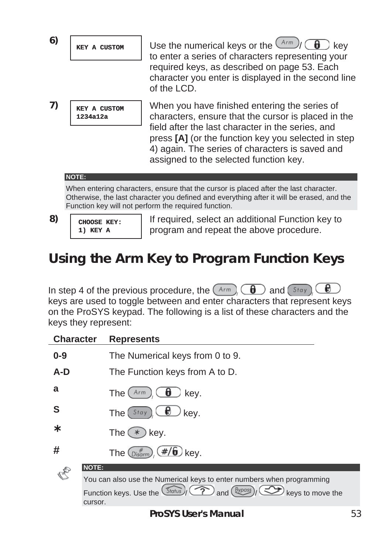| 6) | KEY A CUSTOM | Use the numerical keys or the $\frac{(Arm)}{2}$ $\binom{f}{f}$<br>key<br>to enter a series of characters representing your<br>required keys, as described on page 53. Each<br>character you enter is displayed in the second line<br>of the LCD.                                                              |
|----|--------------|---------------------------------------------------------------------------------------------------------------------------------------------------------------------------------------------------------------------------------------------------------------------------------------------------------------|
| 7) | 1234a12a     | When you have finished entering the series of<br>characters, ensure that the cursor is placed in the<br>field after the last character in the series, and<br>press [A] (or the function key you selected in step<br>4) again. The series of characters is saved and<br>assigned to the selected function key. |

When entering characters, ensure that the cursor is placed after the last character. Otherwise, the last character you defined and everything after it will be erased, and the Function key will not perform the required function.

- 
- **8) CHOOSE KEY: 1) KEY A**

If required, select an additional Function key to program and repeat the above procedure.

## **Using the Arm Key to Program Function Keys**

Đ In step 4 of the previous procedure, the  $(A<sub>rm</sub>)$   $(\theta)$  and  $(S<sub>toy</sub>)$ keys are used to toggle between and enter characters that represent keys on the ProSYS keypad. The following is a list of these characters and the keys they represent:

| <b>Character</b> | <b>Represents</b>                                                                                                        |
|------------------|--------------------------------------------------------------------------------------------------------------------------|
| $0 - 9$          | The Numerical keys from 0 to 9.                                                                                          |
| A-D              | The Function keys from A to D.                                                                                           |
| a                | The (<br>kev.<br>Arm<br>O                                                                                                |
| S                | The(<br>Stay<br>kev.                                                                                                     |
| ∗                | The $(*)$<br>) kev.                                                                                                      |
| #                | The $\binom{#}{Disarm}$ (#/ <b>6</b> ) key.                                                                              |
|                  | <b>NOTE:</b>                                                                                                             |
|                  | You can also use the Numerical keys to enter numbers when programming                                                    |
|                  | Function keys. Use the <i>Status</i> (?) and ( <i>Byposs</i> ) $\left(\frac{3}{2}\right)$<br>keys to move the<br>cursor. |
|                  |                                                                                                                          |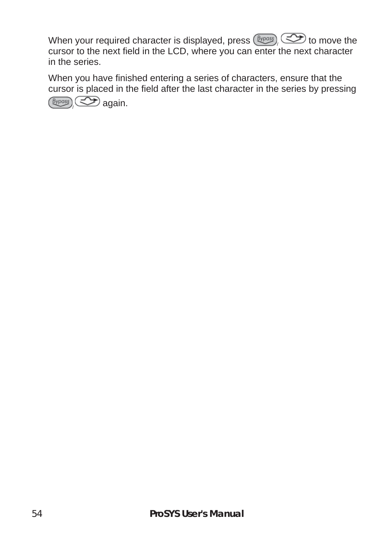When your required character is displayed, press  $\left(\frac{Bypass}{X}\right)$  to move the cursor to the next field in the LCD, where you can enter the next character in the series.

When you have finished entering a series of characters, ensure that the cursor is placed in the field after the last character in the series by pressing **(Bypass) CD** again.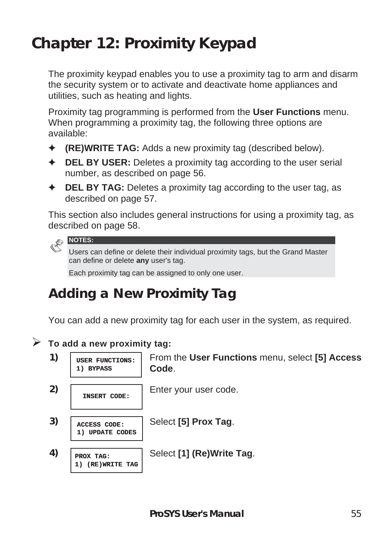# **Chapter 12: Proximity Keypad**

The proximity keypad enables you to use a proximity tag to arm and disarm the security system or to activate and deactivate home appliances and utilities, such as heating and lights.

Proximity tag programming is performed from the **User Functions** menu. When programming a proximity tag, the following three options are available:

- ) **(RE)WRITE TAG:** Adds a new proximity tag (described below).
- ) **DEL BY USER:** Deletes a proximity tag according to the user serial number, as described on page 56.
- ) **DEL BY TAG:** Deletes a proximity tag according to the user tag, as described on page 57.

This section also includes general instructions for using a proximity tag, as described on page 58.



Users can define or delete their individual proximity tags, but the Grand Master can define or delete **any** user's tag.

Each proximity tag can be assigned to only one user.

## **Adding a New Proximity Tag**

You can add a new proximity tag for each user in the system, as required.

#### ¾ **To add a new proximity tag:**

**1) BYPASS**

**1) USER FUNCTIONS:**

From the **User Functions** menu, select **[5] Access Code**.

**2) INSERT CODE:** Enter your user code.

Select **[5] Prox Tag**.

**1) UPDATE CODES 4) PROX TAG:**

**1) (RE)WRITE TAG**

**3) ACCESS CODE:**

Select **[1] (Re)Write Tag**.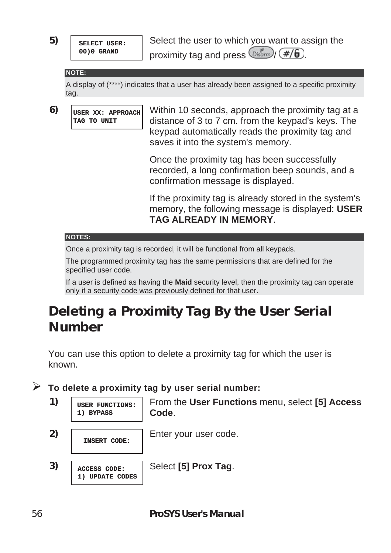**5) SELECT USER: 00)0 GRAND**

Select the user to which you want to assign the proximity tag and press  $\binom{Disqump}{Disqump}$  (#/6).

#### **NOTE:**

A display of (\*\*\*\*) indicates that a user has already been assigned to a specific proximity tag.

**6) USER XX: APPROACH TAG TO UNIT**

Within 10 seconds, approach the proximity tag at a distance of 3 to 7 cm. from the keypad's keys. The keypad automatically reads the proximity tag and saves it into the system's memory.

Once the proximity tag has been successfully recorded, a long confirmation beep sounds, and a confirmation message is displayed.

If the proximity tag is already stored in the system's memory, the following message is displayed: **USER TAG ALREADY IN MEMORY**.

#### **NOTES:**

Once a proximity tag is recorded, it will be functional from all keypads.

The programmed proximity tag has the same permissions that are defined for the specified user code.

If a user is defined as having the **Maid** security level, then the proximity tag can operate only if a security code was previously defined for that user.

## **Deleting a Proximity Tag By the User Serial Number**

You can use this option to delete a proximity tag for which the user is known.

¾ **To delete a proximity tag by user serial number:** 



**2) INSERT CODE:** Enter your user code.

Select **[5] Prox Tag**.

**3) ACCESS CODE: 1) UPDATE CODES**

**1) BYPASS**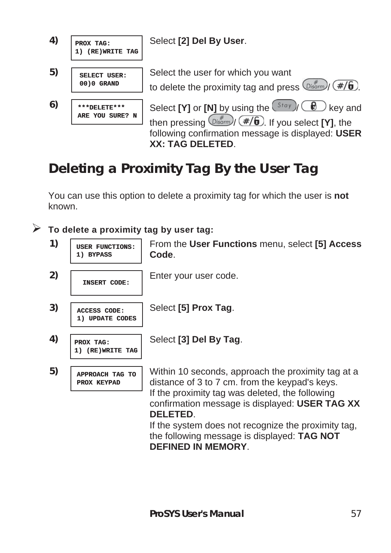

## **Deleting a Proximity Tag By the User Tag**

You can use this option to delete a proximity tag for which the user is **not** known.

¾ **To delete a proximity tag by user tag:** 

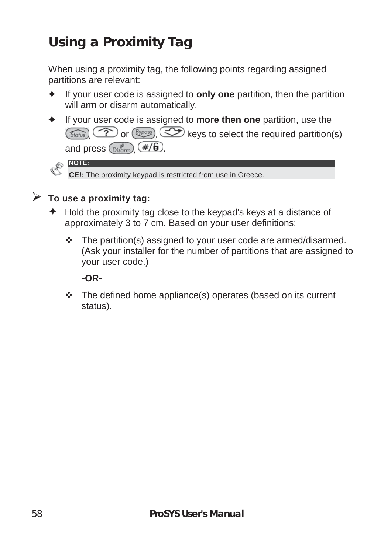# **Using a Proximity Tag**

When using a proximity tag, the following points regarding assigned partitions are relevant:

- ) If your user code is assigned to **only one** partition, then the partition will arm or disarm automatically.
- ) If your user code is assigned to **more then one** partition, use the  $\sqrt{s_{\text{totius}}}\$  or  $\left(\frac{\beta\gamma_{\text{pois}}}{\gamma}\right)$  keys to select the required partition(s) and press  $\binom{m}{\text{Disorm}}$   $\left(\frac{\#}{6}\right)$

![](_page_57_Picture_4.jpeg)

**CE!:** The proximity keypad is restricted from use in Greece.

#### ¾ **To use a proximity tag:**

- $\triangleq$  Hold the proximity tag close to the keypad's keys at a distance of approximately 3 to 7 cm. Based on your user definitions:
	- \* The partition(s) assigned to your user code are armed/disarmed. (Ask your installer for the number of partitions that are assigned to your user code.)

**-OR-** 

 $\div$  The defined home appliance(s) operates (based on its current status).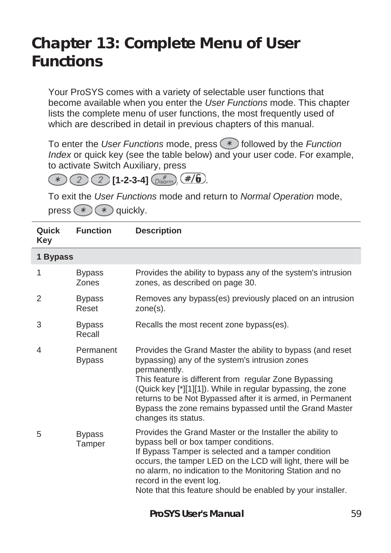# **Chapter 13: Complete Menu of User Functions**

Your ProSYS comes with a variety of selectable user functions that become available when you enter the *User Functions* mode. This chapter lists the complete menu of user functions, the most frequently used of which are described in detail in previous chapters of this manual.

To enter the *User Functions* mode, press (\*) followed by the *Function Index* or quick key (see the table below) and your user code. For example, to activate Switch Auxiliary, press

 $(2)$   $(2)$   $[1-2-3-4]$   $\binom{+}{Dissom}$   $(4/6)$ .  $(\ast)$ 

To exit the *User Functions* mode and return to *Normal Operation* mode, press  $(*)$   $(*)$  quickly.

| Quick<br>Key | <b>Function</b>            | <b>Description</b>                                                                                                                                                                                                                                                                                                                                                                                   |
|--------------|----------------------------|------------------------------------------------------------------------------------------------------------------------------------------------------------------------------------------------------------------------------------------------------------------------------------------------------------------------------------------------------------------------------------------------------|
| 1 Bypass     |                            |                                                                                                                                                                                                                                                                                                                                                                                                      |
| 1            | <b>Bypass</b><br>Zones     | Provides the ability to bypass any of the system's intrusion<br>zones, as described on page 30.                                                                                                                                                                                                                                                                                                      |
| 2            | <b>Bypass</b><br>Reset     | Removes any bypass(es) previously placed on an intrusion<br>zone(s).                                                                                                                                                                                                                                                                                                                                 |
| 3            | <b>Bypass</b><br>Recall    | Recalls the most recent zone bypass(es).                                                                                                                                                                                                                                                                                                                                                             |
| 4            | Permanent<br><b>Bypass</b> | Provides the Grand Master the ability to bypass (and reset<br>bypassing) any of the system's intrusion zones<br>permanently.<br>This feature is different from regular Zone Bypassing<br>(Quick key [*][1][1]). While in regular bypassing, the zone<br>returns to be Not Bypassed after it is armed, in Permanent<br>Bypass the zone remains bypassed until the Grand Master<br>changes its status. |
| 5            | <b>Bypass</b><br>Tamper    | Provides the Grand Master or the Installer the ability to<br>bypass bell or box tamper conditions.<br>If Bypass Tamper is selected and a tamper condition<br>occurs, the tamper LED on the LCD will light, there will be<br>no alarm, no indication to the Monitoring Station and no<br>record in the event log.<br>Note that this feature should be enabled by your installer.                      |

**ProSYS User's Manual** 59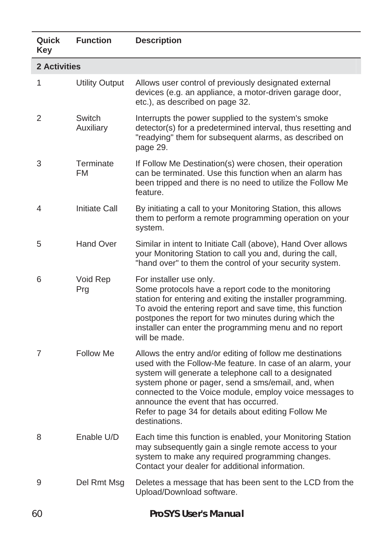| Quick<br>Key        | <b>Function</b>        | <b>Description</b>                                                                                                                                                                                                                                                                                                                                                                                                  |
|---------------------|------------------------|---------------------------------------------------------------------------------------------------------------------------------------------------------------------------------------------------------------------------------------------------------------------------------------------------------------------------------------------------------------------------------------------------------------------|
| <b>2 Activities</b> |                        |                                                                                                                                                                                                                                                                                                                                                                                                                     |
| 1                   | <b>Utility Output</b>  | Allows user control of previously designated external<br>devices (e.g. an appliance, a motor-driven garage door,<br>etc.), as described on page 32.                                                                                                                                                                                                                                                                 |
| 2                   | Switch<br>Auxiliary    | Interrupts the power supplied to the system's smoke<br>detector(s) for a predetermined interval, thus resetting and<br>"readying" them for subsequent alarms, as described on<br>page 29.                                                                                                                                                                                                                           |
| 3                   | Terminate<br><b>FM</b> | If Follow Me Destination(s) were chosen, their operation<br>can be terminated. Use this function when an alarm has<br>been tripped and there is no need to utilize the Follow Me<br>feature.                                                                                                                                                                                                                        |
| 4                   | <b>Initiate Call</b>   | By initiating a call to your Monitoring Station, this allows<br>them to perform a remote programming operation on your<br>system.                                                                                                                                                                                                                                                                                   |
| 5                   | Hand Over              | Similar in intent to Initiate Call (above), Hand Over allows<br>your Monitoring Station to call you and, during the call,<br>"hand over" to them the control of your security system.                                                                                                                                                                                                                               |
| 6                   | Void Rep<br>Prg        | For installer use only.<br>Some protocols have a report code to the monitoring<br>station for entering and exiting the installer programming.<br>To avoid the entering report and save time, this function<br>postpones the report for two minutes during which the<br>installer can enter the programming menu and no report<br>will be made.                                                                      |
| 7                   | Follow Me              | Allows the entry and/or editing of follow me destinations<br>used with the Follow-Me feature. In case of an alarm, your<br>system will generate a telephone call to a designated<br>system phone or pager, send a sms/email, and, when<br>connected to the Voice module, employ voice messages to<br>announce the event that has occurred.<br>Refer to page 34 for details about editing Follow Me<br>destinations. |
| 8                   | Enable U/D             | Each time this function is enabled, your Monitoring Station<br>may subsequently gain a single remote access to your<br>system to make any required programming changes.<br>Contact your dealer for additional information.                                                                                                                                                                                          |
| 9                   | Del Rmt Msg            | Deletes a message that has been sent to the LCD from the<br>Upload/Download software.                                                                                                                                                                                                                                                                                                                               |
| 60                  |                        | ProSYS User's Manual                                                                                                                                                                                                                                                                                                                                                                                                |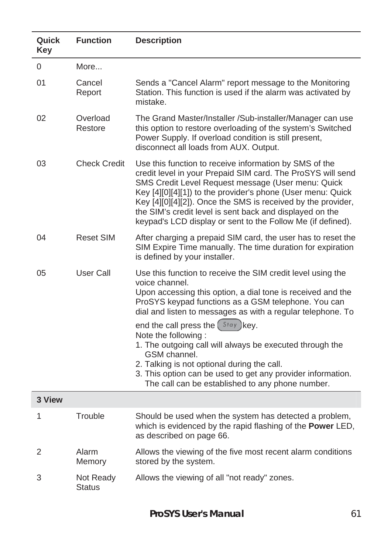| Quick<br>Key | <b>Function</b>            | <b>Description</b>                                                                                                                                                                                                                                                                                                                                                                                                                                                                                                                                                            |
|--------------|----------------------------|-------------------------------------------------------------------------------------------------------------------------------------------------------------------------------------------------------------------------------------------------------------------------------------------------------------------------------------------------------------------------------------------------------------------------------------------------------------------------------------------------------------------------------------------------------------------------------|
| 0            | More                       |                                                                                                                                                                                                                                                                                                                                                                                                                                                                                                                                                                               |
| 01           | Cancel<br>Report           | Sends a "Cancel Alarm" report message to the Monitoring<br>Station. This function is used if the alarm was activated by<br>mistake.                                                                                                                                                                                                                                                                                                                                                                                                                                           |
| 02           | Overload<br>Restore        | The Grand Master/Installer /Sub-installer/Manager can use<br>this option to restore overloading of the system's Switched<br>Power Supply. If overload condition is still present,<br>disconnect all loads from AUX. Output.                                                                                                                                                                                                                                                                                                                                                   |
| 03           | <b>Check Credit</b>        | Use this function to receive information by SMS of the<br>credit level in your Prepaid SIM card. The ProSYS will send<br>SMS Credit Level Request message (User menu: Quick<br>Key [4][0][4][1]) to the provider's phone (User menu: Quick<br>Key [4][0][4][2]). Once the SMS is received by the provider,<br>the SIM's credit level is sent back and displayed on the<br>keypad's LCD display or sent to the Follow Me (if defined).                                                                                                                                         |
| 04           | <b>Reset SIM</b>           | After charging a prepaid SIM card, the user has to reset the<br>SIM Expire Time manually. The time duration for expiration<br>is defined by your installer.                                                                                                                                                                                                                                                                                                                                                                                                                   |
| 05           | User Call                  | Use this function to receive the SIM credit level using the<br>voice channel.<br>Upon accessing this option, a dial tone is received and the<br>ProSYS keypad functions as a GSM telephone. You can<br>dial and listen to messages as with a regular telephone. To<br>end the call press the (Stay) key.<br>Note the following:<br>1. The outgoing call will always be executed through the<br>GSM channel.<br>2. Talking is not optional during the call.<br>3. This option can be used to get any provider information.<br>The call can be established to any phone number. |
| 3 View       |                            |                                                                                                                                                                                                                                                                                                                                                                                                                                                                                                                                                                               |
| 1            | Trouble                    | Should be used when the system has detected a problem,<br>which is evidenced by the rapid flashing of the Power LED,<br>as described on page 66.                                                                                                                                                                                                                                                                                                                                                                                                                              |
| 2            | Alarm<br>Memory            | Allows the viewing of the five most recent alarm conditions<br>stored by the system.                                                                                                                                                                                                                                                                                                                                                                                                                                                                                          |
| 3            | Not Ready<br><b>Status</b> | Allows the viewing of all "not ready" zones.                                                                                                                                                                                                                                                                                                                                                                                                                                                                                                                                  |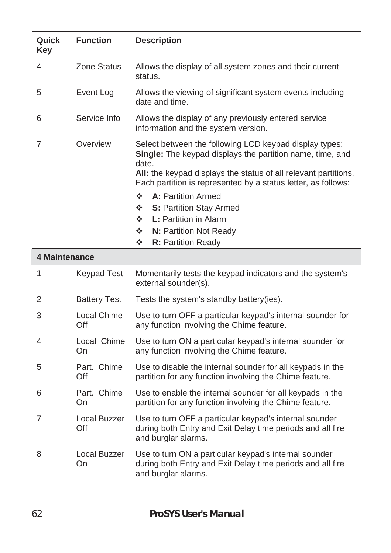| Quick<br>Key   | <b>Function</b>     | <b>Description</b>                                                                                                                                                                                                                                                                                                                                                                                                                |
|----------------|---------------------|-----------------------------------------------------------------------------------------------------------------------------------------------------------------------------------------------------------------------------------------------------------------------------------------------------------------------------------------------------------------------------------------------------------------------------------|
| 4              | Zone Status         | Allows the display of all system zones and their current<br>status.                                                                                                                                                                                                                                                                                                                                                               |
| 5              | Event Log           | Allows the viewing of significant system events including<br>date and time.                                                                                                                                                                                                                                                                                                                                                       |
| 6              | Service Info        | Allows the display of any previously entered service<br>information and the system version.                                                                                                                                                                                                                                                                                                                                       |
| 7              | Overview            | Select between the following LCD keypad display types:<br>Single: The keypad displays the partition name, time, and<br>date.<br>All: the keypad displays the status of all relevant partitions.<br>Each partition is represented by a status letter, as follows:<br>÷<br>A: Partition Armed<br>❖<br>S: Partition Stay Armed<br>❖<br><b>L: Partition in Alarm</b><br>÷<br>N: Partition Not Ready<br>❖<br><b>R:</b> Partition Ready |
| 4 Maintenance  |                     |                                                                                                                                                                                                                                                                                                                                                                                                                                   |
| 1              | <b>Keypad Test</b>  | Momentarily tests the keypad indicators and the system's<br>external sounder(s).                                                                                                                                                                                                                                                                                                                                                  |
| 2              | <b>Battery Test</b> | Tests the system's standby battery(ies).                                                                                                                                                                                                                                                                                                                                                                                          |
| 3              | Local Chime<br>Off  | Use to turn OFF a particular keypad's internal sounder for<br>any function involving the Chime feature.                                                                                                                                                                                                                                                                                                                           |
| 4              | Local Chime<br>On   | Use to turn ON a particular keypad's internal sounder for<br>any function involving the Chime feature.                                                                                                                                                                                                                                                                                                                            |
| 5              | Part. Chime<br>Off  | Use to disable the internal sounder for all keypads in the<br>partition for any function involving the Chime feature.                                                                                                                                                                                                                                                                                                             |
| 6              | Part. Chime<br>On   | Use to enable the internal sounder for all keypads in the<br>partition for any function involving the Chime feature.                                                                                                                                                                                                                                                                                                              |
| $\overline{7}$ | Local Buzzer<br>Off | Use to turn OFF a particular keypad's internal sounder<br>during both Entry and Exit Delay time periods and all fire<br>and burglar alarms.                                                                                                                                                                                                                                                                                       |
| 8              | Local Buzzer<br>On  | Use to turn ON a particular keypad's internal sounder<br>during both Entry and Exit Delay time periods and all fire<br>and burglar alarms.                                                                                                                                                                                                                                                                                        |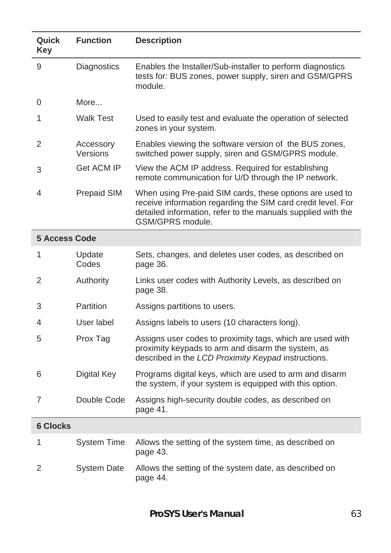| Quick<br>Key         | <b>Function</b>       | <b>Description</b>                                                                                                                                                                                           |
|----------------------|-----------------------|--------------------------------------------------------------------------------------------------------------------------------------------------------------------------------------------------------------|
| 9                    | Diagnostics           | Enables the Installer/Sub-installer to perform diagnostics<br>tests for: BUS zones, power supply, siren and GSM/GPRS<br>module.                                                                              |
| 0                    | More                  |                                                                                                                                                                                                              |
| 1                    | <b>Walk Test</b>      | Used to easily test and evaluate the operation of selected<br>zones in your system.                                                                                                                          |
| 2                    | Accessory<br>Versions | Enables viewing the software version of the BUS zones,<br>switched power supply, siren and GSM/GPRS module.                                                                                                  |
| 3                    | Get ACM IP            | View the ACM IP address. Required for establishing<br>remote communication for U/D through the IP network.                                                                                                   |
| 4                    | Prepaid SIM           | When using Pre-paid SIM cards, these options are used to<br>receive information regarding the SIM card credit level. For<br>detailed information, refer to the manuals supplied with the<br>GSM/GPRS module. |
| <b>5 Access Code</b> |                       |                                                                                                                                                                                                              |
| 1                    | Update<br>Codes       | Sets, changes, and deletes user codes, as described on<br>page 36.                                                                                                                                           |
| 2                    | Authority             | Links user codes with Authority Levels, as described on<br>page 38.                                                                                                                                          |
| 3                    | Partition             | Assigns partitions to users.                                                                                                                                                                                 |
| 4                    | User label            | Assigns labels to users (10 characters long).                                                                                                                                                                |
| 5                    | Prox Tag              | Assigns user codes to proximity tags, which are used with<br>proximity keypads to arm and disarm the system, as<br>described in the LCD Proximity Keypad instructions.                                       |
| 6                    | Digital Key           | Programs digital keys, which are used to arm and disarm<br>the system, if your system is equipped with this option.                                                                                          |
| 7                    | Double Code           | Assigns high-security double codes, as described on<br>page 41.                                                                                                                                              |
| <b>6 Clocks</b>      |                       |                                                                                                                                                                                                              |
| 1                    | <b>System Time</b>    | Allows the setting of the system time, as described on<br>page 43.                                                                                                                                           |
| 2                    | <b>System Date</b>    | Allows the setting of the system date, as described on<br>page 44.                                                                                                                                           |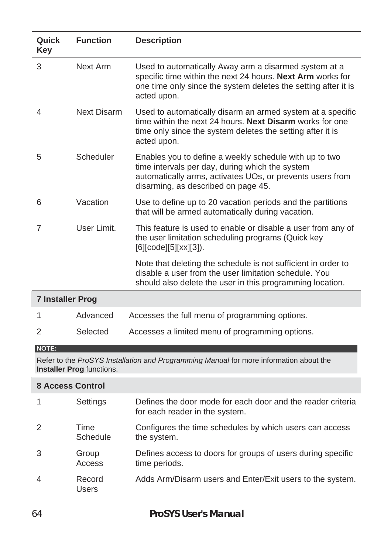| Quick<br>Key            | <b>Function</b> | <b>Description</b>                                                                                                                                                                                            |
|-------------------------|-----------------|---------------------------------------------------------------------------------------------------------------------------------------------------------------------------------------------------------------|
| 3                       | Next Arm        | Used to automatically Away arm a disarmed system at a<br>specific time within the next 24 hours. Next Arm works for<br>one time only since the system deletes the setting after it is<br>acted upon.          |
| 4                       | Next Disarm     | Used to automatically disarm an armed system at a specific<br>time within the next 24 hours. Next Disarm works for one<br>time only since the system deletes the setting after it is<br>acted upon.           |
| 5                       | Scheduler       | Enables you to define a weekly schedule with up to two<br>time intervals per day, during which the system<br>automatically arms, activates UOs, or prevents users from<br>disarming, as described on page 45. |
| 6                       | Vacation        | Use to define up to 20 vacation periods and the partitions<br>that will be armed automatically during vacation.                                                                                               |
| 7                       | User Limit.     | This feature is used to enable or disable a user from any of<br>the user limitation scheduling programs (Quick key<br>[6][code][5][xx][3]).                                                                   |
|                         |                 | Note that deleting the schedule is not sufficient in order to<br>disable a user from the user limitation schedule. You<br>should also delete the user in this programming location.                           |
| <b>7 Installer Prog</b> |                 |                                                                                                                                                                                                               |
| 1                       | Advanced        | Accesses the full menu of programming options.                                                                                                                                                                |
| 2                       | Selected        | Accesses a limited menu of programming options.                                                                                                                                                               |

#### **NOTE:**

Refer to the *ProSYS Installation and Programming Manual* for more information about the **Installer Prog** functions.

| <b>8 Access Control</b> |                  |                                                                                               |  |
|-------------------------|------------------|-----------------------------------------------------------------------------------------------|--|
|                         | Settings         | Defines the door mode for each door and the reader criteria<br>for each reader in the system. |  |
| $\mathcal{P}$           | Time<br>Schedule | Configures the time schedules by which users can access<br>the system.                        |  |
| 3                       | Group<br>Access  | Defines access to doors for groups of users during specific<br>time periods.                  |  |
| 4                       | Record<br>Users  | Adds Arm/Disarm users and Enter/Exit users to the system.                                     |  |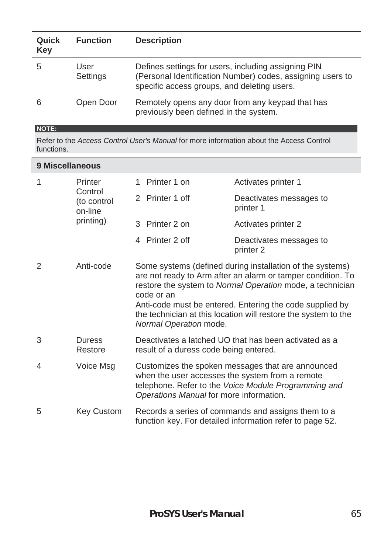| Quick<br>Key | <b>Function</b>  | <b>Description</b>                                                                                                                                               |
|--------------|------------------|------------------------------------------------------------------------------------------------------------------------------------------------------------------|
|              | User<br>Settings | Defines settings for users, including assigning PIN<br>(Personal Identification Number) codes, assigning users to<br>specific access groups, and deleting users. |
|              | Open Door        | Remotely opens any door from any keypad that has<br>previously been defined in the system.                                                                       |

#### **NOTE:**

Refer to the *Access Control User's Manual* for more information about the Access Control functions.

| 9 Miscellaneous |                                                                                                                              |                                                                                                                                                                                                                                                                                                                                                             |                                      |  |  |  |  |  |
|-----------------|------------------------------------------------------------------------------------------------------------------------------|-------------------------------------------------------------------------------------------------------------------------------------------------------------------------------------------------------------------------------------------------------------------------------------------------------------------------------------------------------------|--------------------------------------|--|--|--|--|--|
| 1               | Printer<br>Control<br>(to control<br>on-line<br>printing)                                                                    | Printer 1 on<br>1                                                                                                                                                                                                                                                                                                                                           | Activates printer 1                  |  |  |  |  |  |
|                 |                                                                                                                              | 2 Printer 1 off                                                                                                                                                                                                                                                                                                                                             | Deactivates messages to<br>printer 1 |  |  |  |  |  |
|                 |                                                                                                                              | 3 Printer 2 on                                                                                                                                                                                                                                                                                                                                              | Activates printer 2                  |  |  |  |  |  |
|                 |                                                                                                                              | 4 Printer 2 off                                                                                                                                                                                                                                                                                                                                             | Deactivates messages to<br>printer 2 |  |  |  |  |  |
| $\overline{2}$  | Anti-code                                                                                                                    | Some systems (defined during installation of the systems)<br>are not ready to Arm after an alarm or tamper condition. To<br>restore the system to Normal Operation mode, a technician<br>code or an<br>Anti-code must be entered. Entering the code supplied by<br>the technician at this location will restore the system to the<br>Normal Operation mode. |                                      |  |  |  |  |  |
| 3               | <b>Duress</b><br>Restore                                                                                                     | Deactivates a latched UO that has been activated as a<br>result of a duress code being entered.                                                                                                                                                                                                                                                             |                                      |  |  |  |  |  |
| 4               | Voice Msg                                                                                                                    | Customizes the spoken messages that are announced<br>when the user accesses the system from a remote<br>telephone. Refer to the Voice Module Programming and<br>Operations Manual for more information.                                                                                                                                                     |                                      |  |  |  |  |  |
| 5               | Key Custom<br>Records a series of commands and assigns them to a<br>function key. For detailed information refer to page 52. |                                                                                                                                                                                                                                                                                                                                                             |                                      |  |  |  |  |  |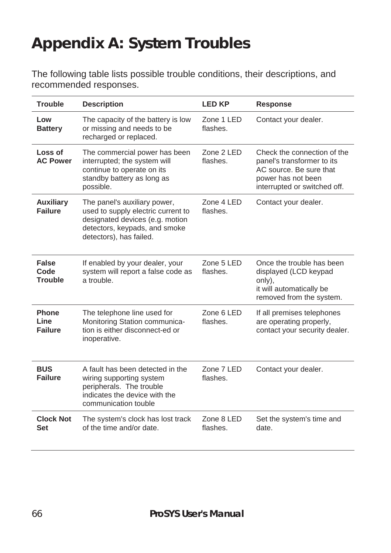# **Appendix A: System Troubles**

The following table lists possible trouble conditions, their descriptions, and recommended responses.

| <b>Trouble</b>                         | <b>Description</b>                                                                                                                                                | <b>LED KP</b>                | <b>Response</b>                                                                                                                            |  |  |
|----------------------------------------|-------------------------------------------------------------------------------------------------------------------------------------------------------------------|------------------------------|--------------------------------------------------------------------------------------------------------------------------------------------|--|--|
| Low<br><b>Battery</b>                  | The capacity of the battery is low<br>or missing and needs to be<br>recharged or replaced.                                                                        | Zone 1 LED<br>flashes.       | Contact your dealer.                                                                                                                       |  |  |
| Loss of<br><b>AC Power</b>             | The commercial power has been<br>interrupted; the system will<br>continue to operate on its<br>standby battery as long as<br>possible.                            | Zone 2 LED<br>flashes.       | Check the connection of the<br>panel's transformer to its<br>AC source. Be sure that<br>power has not been<br>interrupted or switched off. |  |  |
| <b>Auxiliary</b><br><b>Failure</b>     | The panel's auxiliary power,<br>used to supply electric current to<br>designated devices (e.g. motion<br>detectors, keypads, and smoke<br>detectors), has failed. | $7$ one $4$ I FD<br>flashes. | Contact your dealer.                                                                                                                       |  |  |
| False<br>Code<br><b>Trouble</b>        | If enabled by your dealer, your<br>system will report a false code as<br>a trouble.                                                                               | Zone 5 LED<br>flashes.       | Once the trouble has been<br>displayed (LCD keypad<br>only),<br>it will automatically be<br>removed from the system.                       |  |  |
| <b>Phone</b><br>Line<br><b>Failure</b> | The telephone line used for<br>Monitoring Station communica-<br>tion is either disconnect-ed or<br>inoperative.                                                   | Zone 6 LED<br>flashes.       | If all premises telephones<br>are operating properly,<br>contact your security dealer.                                                     |  |  |
| <b>BUS</b><br><b>Failure</b>           | A fault has been detected in the<br>wiring supporting system<br>peripherals. The trouble<br>indicates the device with the<br>communication touble                 | Zone 7 LED<br>flashes.       | Contact your dealer.                                                                                                                       |  |  |
| <b>Clock Not</b><br>Set                | The system's clock has lost track<br>of the time and/or date.                                                                                                     | Zone 8 LED<br>flashes        | Set the system's time and<br>date.                                                                                                         |  |  |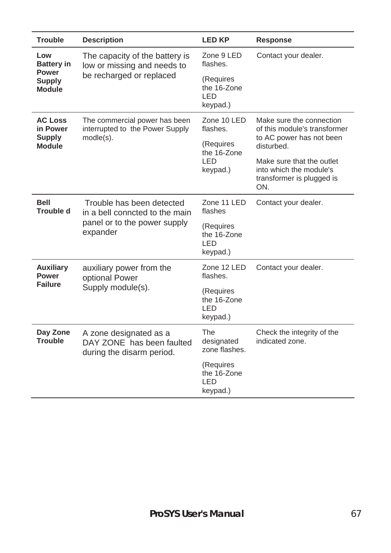| <b>Trouble</b>                           | <b>Description</b>                                                               |                                              | <b>Response</b>                                                                          |  |  |  |
|------------------------------------------|----------------------------------------------------------------------------------|----------------------------------------------|------------------------------------------------------------------------------------------|--|--|--|
| Low<br><b>Battery in</b><br><b>Power</b> | The capacity of the battery is<br>low or missing and needs to                    | Zone 9 LED<br>flashes.                       | Contact your dealer.                                                                     |  |  |  |
| <b>Supply</b><br><b>Module</b>           | be recharged or replaced                                                         | (Requires<br>the 16-Zone<br>I FD<br>keypad.) |                                                                                          |  |  |  |
| <b>AC Loss</b><br>in Power               | The commercial power has been<br>interrupted to the Power Supply                 | Zone 10 LED<br>flashes.                      | Make sure the connection<br>of this module's transformer                                 |  |  |  |
| <b>Supply</b><br><b>Module</b>           | $mode(s)$ .                                                                      | (Requires<br>the 16-Zone                     | to AC power has not been<br>disturbed.                                                   |  |  |  |
|                                          |                                                                                  | I FD<br>keypad.)                             | Make sure that the outlet<br>into which the module's<br>transformer is plugged is<br>ON. |  |  |  |
| <b>Bell</b><br><b>Trouble d</b>          | Trouble has been detected<br>in a bell conncted to the main                      | Zone 11 LED<br>flashes                       | Contact your dealer.                                                                     |  |  |  |
|                                          | panel or to the power supply<br>expander                                         | (Requires<br>the 16-Zone<br>I FD<br>keypad.) |                                                                                          |  |  |  |
| <b>Auxiliary</b><br>Power                | auxiliary power from the<br>optional Power                                       | Zone 12 LED<br>flashes.                      | Contact your dealer.                                                                     |  |  |  |
| <b>Failure</b>                           | Supply module(s).                                                                | (Requires<br>the 16-Zone<br>LED<br>keypad.)  |                                                                                          |  |  |  |
| Day Zone<br>Trouble                      | A zone designated as a<br>DAY ZONE has been faulted<br>during the disarm period. | The<br>designated<br>zone flashes.           | Check the integrity of the<br>indicated zone.                                            |  |  |  |
|                                          |                                                                                  | (Requires<br>the 16-Zone<br>LED<br>keypad.)  |                                                                                          |  |  |  |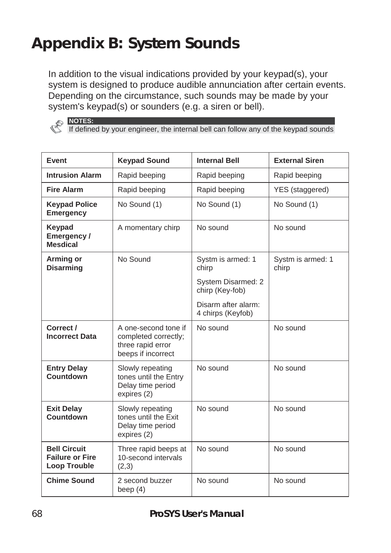# **Appendix B: System Sounds**

In addition to the visual indications provided by your keypad(s), your system is designed to produce audible annunciation after certain events. Depending on the circumstance, such sounds may be made by your system's keypad(s) or sounders (e.g. a siren or bell).

![](_page_67_Picture_2.jpeg)

**NOTES:**  If defined by your engineer, the internal bell can follow any of the keypad sounds

| Event                                                                                                            | <b>Keypad Sound</b>                                                                     | <b>Internal Bell</b>                     | <b>External Siren</b>      |  |  |
|------------------------------------------------------------------------------------------------------------------|-----------------------------------------------------------------------------------------|------------------------------------------|----------------------------|--|--|
| <b>Intrusion Alarm</b>                                                                                           | Rapid beeping                                                                           | Rapid beeping                            | Rapid beeping              |  |  |
| <b>Fire Alarm</b>                                                                                                | Rapid beeping                                                                           | Rapid beeping                            | YES (staggered)            |  |  |
| <b>Keypad Police</b><br>Emergency                                                                                | No Sound (1)                                                                            | No Sound (1)                             | No Sound (1)               |  |  |
| Keypad<br>Emergency/<br><b>Mesdical</b>                                                                          | A momentary chirp                                                                       |                                          | No sound                   |  |  |
| Arming or<br><b>Disarming</b>                                                                                    | No Sound                                                                                | Systm is armed: 1<br>chirp               | Systm is armed: 1<br>chirp |  |  |
|                                                                                                                  |                                                                                         | System Disarmed: 2<br>chirp (Key-fob)    |                            |  |  |
|                                                                                                                  |                                                                                         | Disarm after alarm:<br>4 chirps (Keyfob) |                            |  |  |
| Correct /<br><b>Incorrect Data</b>                                                                               | A one-second tone if<br>completed correctly;<br>three rapid error<br>beeps if incorrect | No sound                                 | No sound                   |  |  |
| <b>Entry Delay</b><br>Slowly repeating<br>Countdown<br>tones until the Entry<br>Delay time period<br>expires (2) |                                                                                         | No sound                                 | No sound                   |  |  |
| <b>Exit Delay</b><br>Countdown                                                                                   | Slowly repeating<br>tones until the Exit<br>Delay time period<br>expires (2)            |                                          | No sound                   |  |  |
| <b>Bell Circuit</b><br><b>Failure or Fire</b><br>Loop Trouble                                                    | Three rapid beeps at<br>10-second intervals<br>(2,3)                                    | No sound                                 | No sound                   |  |  |
| <b>Chime Sound</b>                                                                                               | 2 second buzzer<br>beep $(4)$                                                           | No sound                                 | No sound                   |  |  |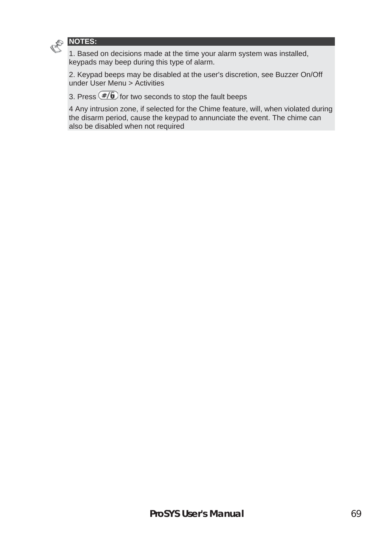![](_page_68_Picture_0.jpeg)

1. Based on decisions made at the time your alarm system was installed, keypads may beep during this type of alarm.

2. Keypad beeps may be disabled at the user's discretion, see Buzzer On/Off under User Menu > Activities

3. Press  $(F/\sqrt{6})$  for two seconds to stop the fault beeps

4 Any intrusion zone, if selected for the Chime feature, will, when violated during the disarm period, cause the keypad to annunciate the event. The chime can also be disabled when not required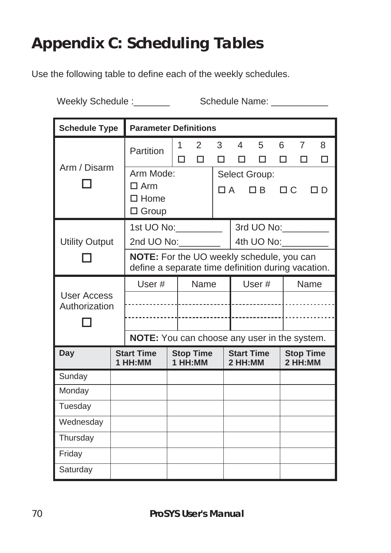# **Appendix C: Scheduling Tables**

Use the following table to define each of the weekly schedules.

Weekly Schedule :\_\_\_\_\_\_\_ Schedule Name: \_\_\_\_\_\_\_\_\_

| <b>Schedule Type</b>         |  | <b>Parameter Definitions</b>                                                                    |  |                             |                                                    |                              |                      |        |                             |                     |        |
|------------------------------|--|-------------------------------------------------------------------------------------------------|--|-----------------------------|----------------------------------------------------|------------------------------|----------------------|--------|-----------------------------|---------------------|--------|
| Arm / Disarm                 |  | Partition                                                                                       |  | 1<br>п                      | $\overline{2}$<br>п                                | 3<br>□                       | 4<br>□               | 5<br>п | 6<br>п                      | $\overline{7}$<br>п | 8<br>П |
|                              |  | Arm Mode:<br>$\Box$ Arm<br>$\square$ Home<br>$\Box$ Group                                       |  |                             | Select Group:<br>$\Box C$<br>$\Box$ A<br>ПB<br>ח ר |                              |                      |        |                             |                     |        |
| <b>Utility Output</b>        |  | 1st UO No: __________<br>2nd UO No:                                                             |  |                             |                                                    |                              | 3rd UO No: _________ |        |                             |                     |        |
|                              |  | NOTE: For the UO weekly schedule, you can<br>define a separate time definition during vacation. |  |                             |                                                    |                              |                      |        |                             |                     |        |
|                              |  | Name<br>User#                                                                                   |  |                             | User#                                              |                              |                      |        | Name                        |                     |        |
| User Access<br>Authorization |  |                                                                                                 |  |                             |                                                    |                              |                      |        |                             |                     |        |
|                              |  |                                                                                                 |  |                             |                                                    |                              |                      |        |                             |                     |        |
|                              |  | NOTE: You can choose any user in the system.                                                    |  |                             |                                                    |                              |                      |        |                             |                     |        |
| Day                          |  | <b>Start Time</b><br>1 HH:MM                                                                    |  | <b>Stop Time</b><br>1 HH:MM |                                                    | <b>Start Time</b><br>2 HH:MM |                      |        | <b>Stop Time</b><br>2 HH:MM |                     |        |
| Sunday                       |  |                                                                                                 |  |                             |                                                    |                              |                      |        |                             |                     |        |
| Monday                       |  |                                                                                                 |  |                             |                                                    |                              |                      |        |                             |                     |        |
| Tuesday                      |  |                                                                                                 |  |                             |                                                    |                              |                      |        |                             |                     |        |
| Wednesday                    |  |                                                                                                 |  |                             |                                                    |                              |                      |        |                             |                     |        |
| Thursday                     |  |                                                                                                 |  |                             |                                                    |                              |                      |        |                             |                     |        |
| Friday                       |  |                                                                                                 |  |                             |                                                    |                              |                      |        |                             |                     |        |
| Saturday                     |  |                                                                                                 |  |                             |                                                    |                              |                      |        |                             |                     |        |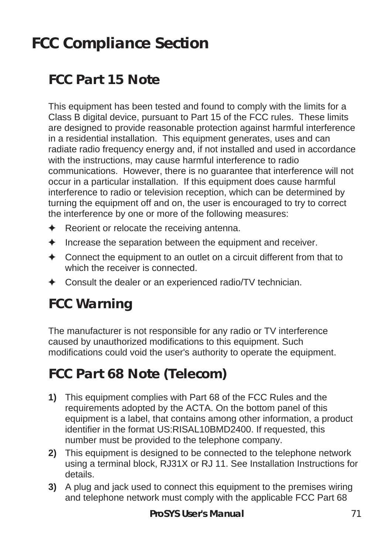# **FCC Compliance Section**

## **FCC Part 15 Note**

This equipment has been tested and found to comply with the limits for a Class B digital device, pursuant to Part 15 of the FCC rules. These limits are designed to provide reasonable protection against harmful interference in a residential installation. This equipment generates, uses and can radiate radio frequency energy and, if not installed and used in accordance with the instructions, may cause harmful interference to radio communications. However, there is no guarantee that interference will not occur in a particular installation. If this equipment does cause harmful interference to radio or television reception, which can be determined by turning the equipment off and on, the user is encouraged to try to correct the interference by one or more of the following measures:

- $\triangle$  Reorient or relocate the receiving antenna.
- $\triangleq$  Increase the separation between the equipment and receiver.
- $\triangle$  Connect the equipment to an outlet on a circuit different from that to which the receiver is connected.
- $\triangleleft$  Consult the dealer or an experienced radio/TV technician.

## **FCC Warning**

The manufacturer is not responsible for any radio or TV interference caused by unauthorized modifications to this equipment. Such modifications could void the user's authority to operate the equipment.

## **FCC Part 68 Note (Telecom)**

- **1)** This equipment complies with Part 68 of the FCC Rules and the requirements adopted by the ACTA. On the bottom panel of this equipment is a label, that contains among other information, a product identifier in the format US:RISAL10BMD2400. If requested, this number must be provided to the telephone company.
- **2)** This equipment is designed to be connected to the telephone network using a terminal block, RJ31X or RJ 11. See Installation Instructions for details.
- **3)** A plug and jack used to connect this equipment to the premises wiring and telephone network must comply with the applicable FCC Part 68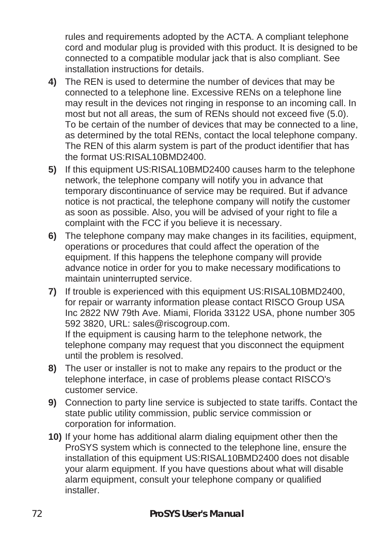rules and requirements adopted by the ACTA. A compliant telephone cord and modular plug is provided with this product. It is designed to be connected to a compatible modular jack that is also compliant. See installation instructions for details.

- **4)** The REN is used to determine the number of devices that may be connected to a telephone line. Excessive RENs on a telephone line may result in the devices not ringing in response to an incoming call. In most but not all areas, the sum of RENs should not exceed five (5.0). To be certain of the number of devices that may be connected to a line, as determined by the total RENs, contact the local telephone company. The REN of this alarm system is part of the product identifier that has the format US:RISAL10BMD2400.
- **5)** If this equipment US:RISAL10BMD2400 causes harm to the telephone network, the telephone company will notify you in advance that temporary discontinuance of service may be required. But if advance notice is not practical, the telephone company will notify the customer as soon as possible. Also, you will be advised of your right to file a complaint with the FCC if you believe it is necessary.
- **6)** The telephone company may make changes in its facilities, equipment, operations or procedures that could affect the operation of the equipment. If this happens the telephone company will provide advance notice in order for you to make necessary modifications to maintain uninterrupted service.
- **7)** If trouble is experienced with this equipment US:RISAL10BMD2400, for repair or warranty information please contact RISCO Group USA Inc 2822 NW 79th Ave. Miami, Florida 33122 USA, phone number 305 592 3820, URL: sales@riscogroup.com. If the equipment is causing harm to the telephone network, the

telephone company may request that you disconnect the equipment until the problem is resolved.

- **8)** The user or installer is not to make any repairs to the product or the telephone interface, in case of problems please contact RISCO's customer service.
- **9)** Connection to party line service is subjected to state tariffs. Contact the state public utility commission, public service commission or corporation for information.
- **10)** If your home has additional alarm dialing equipment other then the ProSYS system which is connected to the telephone line, ensure the installation of this equipment US:RISAL10BMD2400 does not disable your alarm equipment. If you have questions about what will disable alarm equipment, consult your telephone company or qualified installer.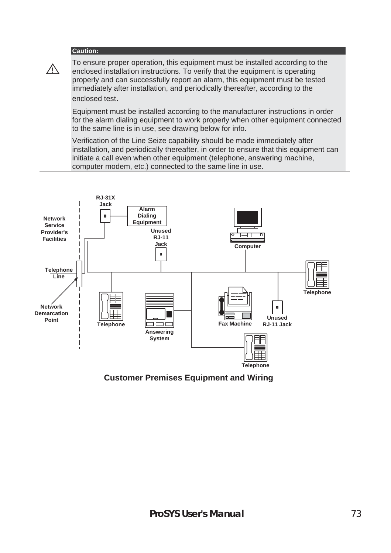#### **Caution:**

**!**

To ensure proper operation, this equipment must be installed according to the enclosed installation instructions. To verify that the equipment is operating properly and can successfully report an alarm, this equipment must be tested immediately after installation, and periodically thereafter, according to the enclosed test.

Equipment must be installed according to the manufacturer instructions in order for the alarm dialing equipment to work properly when other equipment connected to the same line is in use, see drawing below for info.

Verification of the Line Seize capability should be made immediately after installation, and periodically thereafter, in order to ensure that this equipment can initiate a call even when other equipment (telephone, answering machine, computer modem, etc.) connected to the same line in use.



**Customer Premises Equipment and Wiring**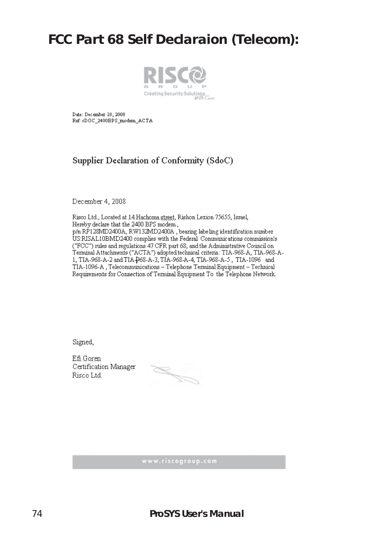### **FCC Part 68 Self Declaraion (Telecom):**



Date: December 18, 2008 Ref: sDOC\_2400BPS\_modem\_ACTA

### Supplier Declaration of Conformity (SdoC)

December 4, 2008

Risco Ltd., Located at 14 Hachoma street, Rishon Lezion 75655, Israel, Hereby declare that the 2400 BPS modem. p/n RP128MD2400A, RW132MD2400A, bearing labeling identification number US:RISAL10BMD2400 complies with the Federal Communications commission's ("FCC") rules and regulations 47 CFR part 68, and the Administrative Council on Terminal Attachments ("ACTA") adopted technical criteria: TIA-968-A, TIA-968-A-1, TIA-968-A-2 and TIA-968-A-3, TIA-968-A-4, TIA-968-A-5, TIA-1096 and TIA-1096-A, Telecommunications - Telephone Terminal Equipment - Technical Requirements for Connection of Terminal Equipment To the Telephone Network.

Signed,

Efi Goren Certification Manager Risco Ltd.

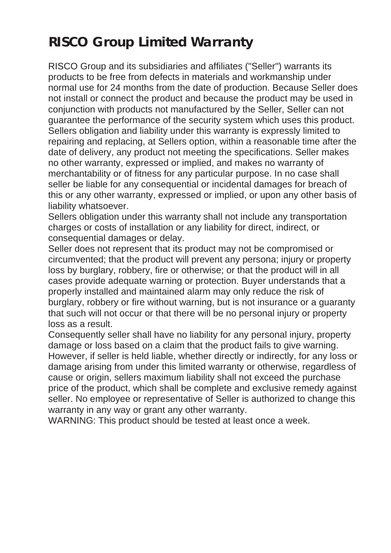# **RISCO Group Limited Warranty**

RISCO Group and its subsidiaries and affiliates ("Seller") warrants its products to be free from defects in materials and workmanship under normal use for 24 months from the date of production. Because Seller does not install or connect the product and because the product may be used in conjunction with products not manufactured by the Seller, Seller can not guarantee the performance of the security system which uses this product. Sellers obligation and liability under this warranty is expressly limited to repairing and replacing, at Sellers option, within a reasonable time after the date of delivery, any product not meeting the specifications. Seller makes no other warranty, expressed or implied, and makes no warranty of merchantability or of fitness for any particular purpose. In no case shall seller be liable for any consequential or incidental damages for breach of this or any other warranty, expressed or implied, or upon any other basis of liability whatsoever.

Sellers obligation under this warranty shall not include any transportation charges or costs of installation or any liability for direct, indirect, or consequential damages or delay.

Seller does not represent that its product may not be compromised or circumvented; that the product will prevent any persona; injury or property loss by burglary, robbery, fire or otherwise; or that the product will in all cases provide adequate warning or protection. Buyer understands that a properly installed and maintained alarm may only reduce the risk of burglary, robbery or fire without warning, but is not insurance or a guaranty that such will not occur or that there will be no personal injury or property loss as a result.

Consequently seller shall have no liability for any personal injury, property damage or loss based on a claim that the product fails to give warning. However, if seller is held liable, whether directly or indirectly, for any loss or damage arising from under this limited warranty or otherwise, regardless of cause or origin, sellers maximum liability shall not exceed the purchase price of the product, which shall be complete and exclusive remedy against seller. No employee or representative of Seller is authorized to change this warranty in any way or grant any other warranty.

WARNING: This product should be tested at least once a week.